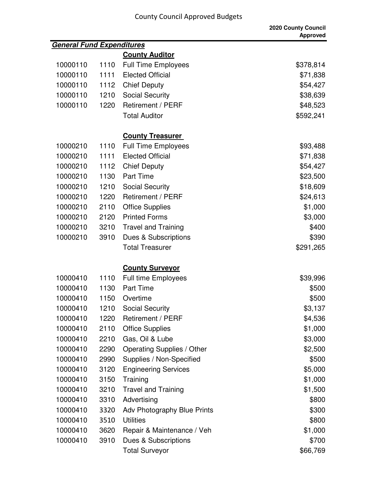| <b>General Fund Expenditures</b> |      |                             |           |
|----------------------------------|------|-----------------------------|-----------|
|                                  |      | <b>County Auditor</b>       |           |
| 10000110                         | 1110 | <b>Full Time Employees</b>  | \$378,814 |
| 10000110                         | 1111 | <b>Elected Official</b>     | \$71,838  |
| 10000110                         | 1112 | <b>Chief Deputy</b>         | \$54,427  |
| 10000110                         | 1210 | <b>Social Security</b>      | \$38,639  |
| 10000110                         | 1220 | <b>Retirement / PERF</b>    | \$48,523  |
|                                  |      | <b>Total Auditor</b>        | \$592,241 |
|                                  |      | <b>County Treasurer</b>     |           |
| 10000210                         | 1110 | <b>Full Time Employees</b>  | \$93,488  |
| 10000210                         | 1111 | <b>Elected Official</b>     | \$71,838  |
| 10000210                         | 1112 | <b>Chief Deputy</b>         | \$54,427  |
| 10000210                         | 1130 | <b>Part Time</b>            | \$23,500  |
| 10000210                         | 1210 | <b>Social Security</b>      | \$18,609  |
| 10000210                         | 1220 | Retirement / PERF           | \$24,613  |
| 10000210                         | 2110 | <b>Office Supplies</b>      | \$1,000   |
| 10000210                         | 2120 | <b>Printed Forms</b>        | \$3,000   |
| 10000210                         | 3210 | <b>Travel and Training</b>  | \$400     |
| 10000210                         | 3910 | Dues & Subscriptions        | \$390     |
|                                  |      | <b>Total Treasurer</b>      | \$291,265 |
|                                  |      | <b>County Surveyor</b>      |           |
| 10000410                         | 1110 | <b>Full time Employees</b>  | \$39,996  |
| 10000410                         | 1130 | <b>Part Time</b>            | \$500     |
| 10000410                         | 1150 | Overtime                    | \$500     |
| 10000410                         | 1210 | <b>Social Security</b>      | \$3,137   |
| 10000410                         | 1220 | Retirement / PERF           | \$4,536   |
| 10000410                         | 2110 | <b>Office Supplies</b>      | \$1,000   |
| 10000410                         | 2210 | Gas, Oil & Lube             | \$3,000   |
| 10000410                         | 2290 | Operating Supplies / Other  | \$2,500   |
| 10000410                         | 2990 | Supplies / Non-Specified    | \$500     |
| 10000410                         | 3120 | <b>Engineering Services</b> | \$5,000   |
| 10000410                         | 3150 | Training                    | \$1,000   |
| 10000410                         | 3210 | <b>Travel and Training</b>  | \$1,500   |
| 10000410                         | 3310 | Advertising                 | \$800     |
| 10000410                         | 3320 | Adv Photography Blue Prints | \$300     |
| 10000410                         | 3510 | <b>Utilities</b>            | \$800     |
| 10000410                         | 3620 | Repair & Maintenance / Veh  | \$1,000   |
| 10000410                         | 3910 | Dues & Subscriptions        | \$700     |
|                                  |      | <b>Total Surveyor</b>       | \$66,769  |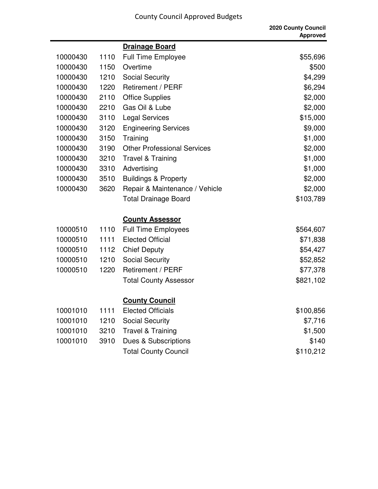|          |      |                                    | 2020 County Council<br><b>Approved</b> |
|----------|------|------------------------------------|----------------------------------------|
|          |      | <b>Drainage Board</b>              |                                        |
| 10000430 | 1110 | Full Time Employee                 | \$55,696                               |
| 10000430 | 1150 | Overtime                           | \$500                                  |
| 10000430 | 1210 | <b>Social Security</b>             | \$4,299                                |
| 10000430 | 1220 | <b>Retirement / PERF</b>           | \$6,294                                |
| 10000430 | 2110 | <b>Office Supplies</b>             | \$2,000                                |
| 10000430 | 2210 | Gas Oil & Lube                     | \$2,000                                |
| 10000430 | 3110 | <b>Legal Services</b>              | \$15,000                               |
| 10000430 | 3120 | <b>Engineering Services</b>        | \$9,000                                |
| 10000430 | 3150 | Training                           | \$1,000                                |
| 10000430 | 3190 | <b>Other Professional Services</b> | \$2,000                                |
| 10000430 | 3210 | <b>Travel &amp; Training</b>       | \$1,000                                |
| 10000430 | 3310 | Advertising                        | \$1,000                                |
| 10000430 | 3510 | <b>Buildings &amp; Property</b>    | \$2,000                                |
| 10000430 | 3620 | Repair & Maintenance / Vehicle     | \$2,000                                |
|          |      | <b>Total Drainage Board</b>        | \$103,789                              |
|          |      | <b>County Assessor</b>             |                                        |
| 10000510 | 1110 | <b>Full Time Employees</b>         | \$564,607                              |
| 10000510 | 1111 | <b>Elected Official</b>            | \$71,838                               |
| 10000510 | 1112 | <b>Chief Deputy</b>                | \$54,427                               |
| 10000510 | 1210 | <b>Social Security</b>             | \$52,852                               |
| 10000510 | 1220 | Retirement / PERF                  | \$77,378                               |
|          |      | <b>Total County Assessor</b>       | \$821,102                              |
|          |      | <b>County Council</b>              |                                        |
| 10001010 | 1111 | <b>Elected Officials</b>           | \$100,856                              |
| 10001010 | 1210 | <b>Social Security</b>             | \$7,716                                |
| 10001010 | 3210 | <b>Travel &amp; Training</b>       | \$1,500                                |
| 10001010 | 3910 | Dues & Subscriptions               | \$140                                  |
|          |      | <b>Total County Council</b>        | \$110,212                              |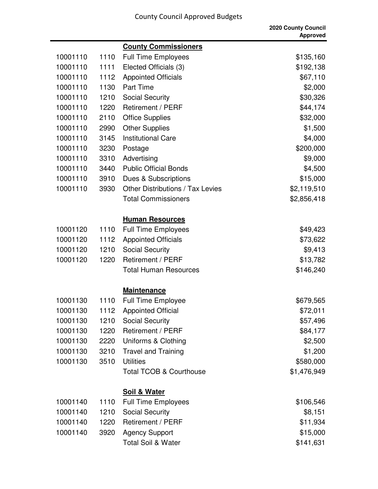|          |      |                                    | 2020 County Council<br><b>Approved</b> |
|----------|------|------------------------------------|----------------------------------------|
|          |      | <b>County Commissioners</b>        |                                        |
| 10001110 | 1110 | <b>Full Time Employees</b>         | \$135,160                              |
| 10001110 | 1111 | Elected Officials (3)              | \$192,138                              |
| 10001110 | 1112 | <b>Appointed Officials</b>         | \$67,110                               |
| 10001110 | 1130 | <b>Part Time</b>                   | \$2,000                                |
| 10001110 | 1210 | <b>Social Security</b>             | \$30,326                               |
| 10001110 | 1220 | Retirement / PERF                  | \$44,174                               |
| 10001110 | 2110 | <b>Office Supplies</b>             | \$32,000                               |
| 10001110 | 2990 | <b>Other Supplies</b>              | \$1,500                                |
| 10001110 | 3145 | <b>Institutional Care</b>          | \$4,000                                |
| 10001110 | 3230 | Postage                            | \$200,000                              |
| 10001110 | 3310 | Advertising                        | \$9,000                                |
| 10001110 | 3440 | <b>Public Official Bonds</b>       | \$4,500                                |
| 10001110 | 3910 | <b>Dues &amp; Subscriptions</b>    | \$15,000                               |
| 10001110 | 3930 | Other Distributions / Tax Levies   | \$2,119,510                            |
|          |      | <b>Total Commissioners</b>         | \$2,856,418                            |
|          |      | <b>Human Resources</b>             |                                        |
| 10001120 | 1110 | <b>Full Time Employees</b>         | \$49,423                               |
| 10001120 | 1112 | <b>Appointed Officials</b>         | \$73,622                               |
| 10001120 | 1210 | <b>Social Security</b>             | \$9,413                                |
| 10001120 | 1220 | <b>Retirement / PERF</b>           | \$13,782                               |
|          |      | <b>Total Human Resources</b>       | \$146,240                              |
|          |      | <b>Maintenance</b>                 |                                        |
| 10001130 | 1110 | <b>Full Time Employee</b>          | \$679,565                              |
| 10001130 | 1112 | <b>Appointed Official</b>          | \$72,011                               |
| 10001130 | 1210 | <b>Social Security</b>             | \$57,496                               |
| 10001130 | 1220 | Retirement / PERF                  | \$84,177                               |
| 10001130 | 2220 | Uniforms & Clothing                | \$2,500                                |
| 10001130 | 3210 | <b>Travel and Training</b>         | \$1,200                                |
| 10001130 | 3510 | <b>Utilities</b>                   | \$580,000                              |
|          |      | <b>Total TCOB &amp; Courthouse</b> | \$1,476,949                            |
|          |      | <b>Soil &amp; Water</b>            |                                        |
| 10001140 | 1110 | <b>Full Time Employees</b>         | \$106,546                              |
| 10001140 | 1210 | <b>Social Security</b>             | \$8,151                                |
| 10001140 | 1220 | Retirement / PERF                  | \$11,934                               |
| 10001140 | 3920 | <b>Agency Support</b>              | \$15,000                               |
|          |      | <b>Total Soil &amp; Water</b>      | \$141,631                              |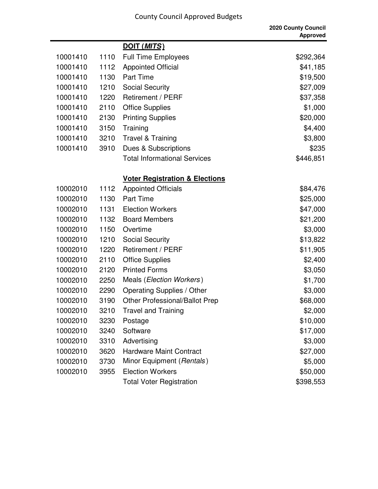۰

|          |      |                                           | <b>2020 County Council</b><br><b>Approved</b> |
|----------|------|-------------------------------------------|-----------------------------------------------|
|          |      | DOIT (MITS)                               |                                               |
| 10001410 | 1110 | <b>Full Time Employees</b>                | \$292,364                                     |
| 10001410 | 1112 | <b>Appointed Official</b>                 | \$41,185                                      |
| 10001410 | 1130 | <b>Part Time</b>                          | \$19,500                                      |
| 10001410 | 1210 | <b>Social Security</b>                    | \$27,009                                      |
| 10001410 | 1220 | <b>Retirement / PERF</b>                  | \$37,358                                      |
| 10001410 | 2110 | <b>Office Supplies</b>                    | \$1,000                                       |
| 10001410 | 2130 | <b>Printing Supplies</b>                  | \$20,000                                      |
| 10001410 | 3150 | Training                                  | \$4,400                                       |
| 10001410 | 3210 | <b>Travel &amp; Training</b>              | \$3,800                                       |
| 10001410 | 3910 | Dues & Subscriptions                      | \$235                                         |
|          |      | <b>Total Informational Services</b>       | \$446,851                                     |
|          |      | <b>Voter Registration &amp; Elections</b> |                                               |
| 10002010 | 1112 | <b>Appointed Officials</b>                | \$84,476                                      |
| 10002010 | 1130 | <b>Part Time</b>                          | \$25,000                                      |
| 10002010 | 1131 | <b>Election Workers</b>                   | \$47,000                                      |
| 10002010 | 1132 | <b>Board Members</b>                      | \$21,200                                      |
| 10002010 | 1150 | Overtime                                  | \$3,000                                       |
| 10002010 | 1210 | <b>Social Security</b>                    | \$13,822                                      |
| 10002010 | 1220 | Retirement / PERF                         | \$11,905                                      |
| 10002010 | 2110 | <b>Office Supplies</b>                    | \$2,400                                       |
| 10002010 | 2120 | <b>Printed Forms</b>                      | \$3,050                                       |
| 10002010 | 2250 | Meals ( <i>Election Workers</i> )         | \$1,700                                       |
| 10002010 | 2290 | <b>Operating Supplies / Other</b>         | \$3,000                                       |
| 10002010 | 3190 | <b>Other Professional/Ballot Prep</b>     | \$68,000                                      |
| 10002010 | 3210 | <b>Travel and Training</b>                | \$2,000                                       |
| 10002010 | 3230 | Postage                                   | \$10,000                                      |
| 10002010 | 3240 | Software                                  | \$17,000                                      |
| 10002010 | 3310 | Advertising                               | \$3,000                                       |
| 10002010 | 3620 | <b>Hardware Maint Contract</b>            | \$27,000                                      |
| 10002010 | 3730 | Minor Equipment (Rentals)                 | \$5,000                                       |
| 10002010 | 3955 | <b>Election Workers</b>                   | \$50,000                                      |
|          |      | <b>Total Voter Registration</b>           | \$398,553                                     |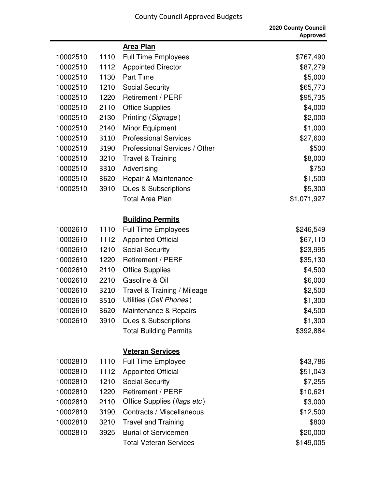|          |      |                               | 2020 County Council<br><b>Approved</b> |
|----------|------|-------------------------------|----------------------------------------|
|          |      | <b>Area Plan</b>              |                                        |
| 10002510 | 1110 | <b>Full Time Employees</b>    | \$767,490                              |
| 10002510 | 1112 | <b>Appointed Director</b>     | \$87,279                               |
| 10002510 | 1130 | <b>Part Time</b>              | \$5,000                                |
| 10002510 | 1210 | <b>Social Security</b>        | \$65,773                               |
| 10002510 | 1220 | <b>Retirement / PERF</b>      | \$95,735                               |
| 10002510 | 2110 | <b>Office Supplies</b>        | \$4,000                                |
| 10002510 | 2130 | Printing (Signage)            | \$2,000                                |
| 10002510 | 2140 | Minor Equipment               | \$1,000                                |
| 10002510 | 3110 | <b>Professional Services</b>  | \$27,600                               |
| 10002510 | 3190 | Professional Services / Other | \$500                                  |
| 10002510 | 3210 | <b>Travel &amp; Training</b>  | \$8,000                                |
| 10002510 | 3310 | Advertising                   | \$750                                  |
| 10002510 | 3620 | Repair & Maintenance          | \$1,500                                |
| 10002510 | 3910 | Dues & Subscriptions          | \$5,300                                |
|          |      | <b>Total Area Plan</b>        | \$1,071,927                            |
|          |      | <b>Building Permits</b>       |                                        |
| 10002610 | 1110 | <b>Full Time Employees</b>    | \$246,549                              |
| 10002610 | 1112 | <b>Appointed Official</b>     | \$67,110                               |
| 10002610 | 1210 | <b>Social Security</b>        | \$23,995                               |
| 10002610 | 1220 | Retirement / PERF             | \$35,130                               |
| 10002610 | 2110 | <b>Office Supplies</b>        | \$4,500                                |
| 10002610 | 2210 | Gasoline & Oil                | \$6,000                                |
| 10002610 | 3210 | Travel & Training / Mileage   | \$2,500                                |
| 10002610 |      | 3510 Utilities (Cell Phones)  | \$1,300                                |
| 10002610 | 3620 | Maintenance & Repairs         | \$4,500                                |
| 10002610 | 3910 | Dues & Subscriptions          | \$1,300                                |
|          |      | <b>Total Building Permits</b> | \$392,884                              |
|          |      | <b>Veteran Services</b>       |                                        |
| 10002810 | 1110 | <b>Full Time Employee</b>     | \$43,786                               |
| 10002810 | 1112 | <b>Appointed Official</b>     | \$51,043                               |
| 10002810 | 1210 | <b>Social Security</b>        | \$7,255                                |
| 10002810 | 1220 | <b>Retirement / PERF</b>      | \$10,621                               |
| 10002810 | 2110 | Office Supplies (flags etc)   | \$3,000                                |
| 10002810 | 3190 | Contracts / Miscellaneous     | \$12,500                               |
| 10002810 | 3210 | <b>Travel and Training</b>    | \$800                                  |
| 10002810 | 3925 | <b>Burial of Servicemen</b>   | \$20,000                               |
|          |      | <b>Total Veteran Services</b> | \$149,005                              |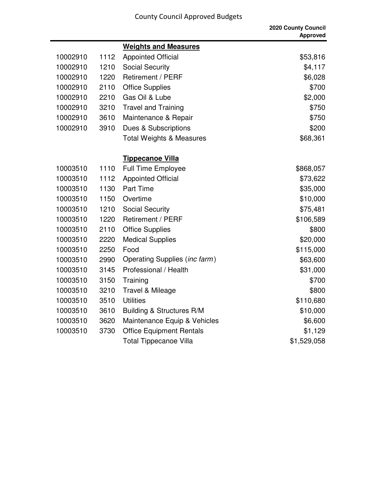|          |      |                                        | 2020 County Council<br><b>Approved</b> |
|----------|------|----------------------------------------|----------------------------------------|
|          |      | <b>Weights and Measures</b>            |                                        |
| 10002910 | 1112 | <b>Appointed Official</b>              | \$53,816                               |
| 10002910 | 1210 | <b>Social Security</b>                 | \$4,117                                |
| 10002910 | 1220 | <b>Retirement / PERF</b>               | \$6,028                                |
| 10002910 | 2110 | <b>Office Supplies</b>                 | \$700                                  |
| 10002910 | 2210 | Gas Oil & Lube                         | \$2,000                                |
| 10002910 | 3210 | <b>Travel and Training</b>             | \$750                                  |
| 10002910 | 3610 | Maintenance & Repair                   | \$750                                  |
| 10002910 | 3910 | Dues & Subscriptions                   | \$200                                  |
|          |      | <b>Total Weights &amp; Measures</b>    | \$68,361                               |
|          |      | <b>Tippecanoe Villa</b>                |                                        |
| 10003510 | 1110 | <b>Full Time Employee</b>              | \$868,057                              |
| 10003510 | 1112 | <b>Appointed Official</b>              | \$73,622                               |
| 10003510 | 1130 | <b>Part Time</b>                       | \$35,000                               |
| 10003510 | 1150 | Overtime                               | \$10,000                               |
| 10003510 | 1210 | <b>Social Security</b>                 | \$75,481                               |
| 10003510 | 1220 | Retirement / PERF                      | \$106,589                              |
| 10003510 | 2110 | <b>Office Supplies</b>                 | \$800                                  |
| 10003510 | 2220 | <b>Medical Supplies</b>                | \$20,000                               |
| 10003510 | 2250 | Food                                   | \$115,000                              |
| 10003510 | 2990 | Operating Supplies ( <i>inc farm</i> ) | \$63,600                               |
| 10003510 | 3145 | Professional / Health                  | \$31,000                               |
| 10003510 | 3150 | Training                               | \$700                                  |
| 10003510 | 3210 | Travel & Mileage                       | \$800                                  |
| 10003510 | 3510 | <b>Utilities</b>                       | \$110,680                              |
| 10003510 | 3610 | <b>Building &amp; Structures R/M</b>   | \$10,000                               |
| 10003510 | 3620 | Maintenance Equip & Vehicles           | \$6,600                                |
| 10003510 | 3730 | <b>Office Equipment Rentals</b>        | \$1,129                                |
|          |      | <b>Total Tippecanoe Villa</b>          | \$1,529,058                            |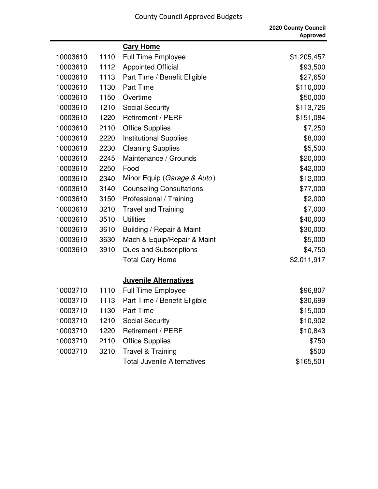$\blacksquare$ 

|          |      |                                    | 2020 County Council<br><b>Approved</b> |
|----------|------|------------------------------------|----------------------------------------|
|          |      | <b>Cary Home</b>                   |                                        |
| 10003610 | 1110 | <b>Full Time Employee</b>          | \$1,205,457                            |
| 10003610 | 1112 | <b>Appointed Official</b>          | \$93,500                               |
| 10003610 | 1113 | Part Time / Benefit Eligible       | \$27,650                               |
| 10003610 | 1130 | <b>Part Time</b>                   | \$110,000                              |
| 10003610 | 1150 | Overtime                           | \$50,000                               |
| 10003610 | 1210 | <b>Social Security</b>             | \$113,726                              |
| 10003610 | 1220 | Retirement / PERF                  | \$151,084                              |
| 10003610 | 2110 | <b>Office Supplies</b>             | \$7,250                                |
| 10003610 | 2220 | <b>Institutional Supplies</b>      | \$8,000                                |
| 10003610 | 2230 | <b>Cleaning Supplies</b>           | \$5,500                                |
| 10003610 | 2245 | Maintenance / Grounds              | \$20,000                               |
| 10003610 | 2250 | Food                               | \$42,000                               |
| 10003610 | 2340 | Minor Equip (Garage & Auto)        | \$12,000                               |
| 10003610 | 3140 | <b>Counseling Consultations</b>    | \$77,000                               |
| 10003610 | 3150 | Professional / Training            | \$2,000                                |
| 10003610 | 3210 | <b>Travel and Training</b>         | \$7,000                                |
| 10003610 | 3510 | <b>Utilities</b>                   | \$40,000                               |
| 10003610 | 3610 | Building / Repair & Maint          | \$30,000                               |
| 10003610 | 3630 | Mach & Equip/Repair & Maint        | \$5,000                                |
| 10003610 | 3910 | Dues and Subscriptions             | \$4,750                                |
|          |      | <b>Total Cary Home</b>             | \$2,011,917                            |
|          |      | <b>Juvenile Alternatives</b>       |                                        |
| 10003710 | 1110 | <b>Full Time Employee</b>          | \$96,807                               |
| 10003710 | 1113 | Part Time / Benefit Eligible       | \$30,699                               |
| 10003710 | 1130 | <b>Part Time</b>                   | \$15,000                               |
| 10003710 | 1210 | <b>Social Security</b>             | \$10,902                               |
| 10003710 | 1220 | Retirement / PERF                  | \$10,843                               |
| 10003710 | 2110 | <b>Office Supplies</b>             | \$750                                  |
| 10003710 | 3210 | <b>Travel &amp; Training</b>       | \$500                                  |
|          |      | <b>Total Juvenile Alternatives</b> | \$165,501                              |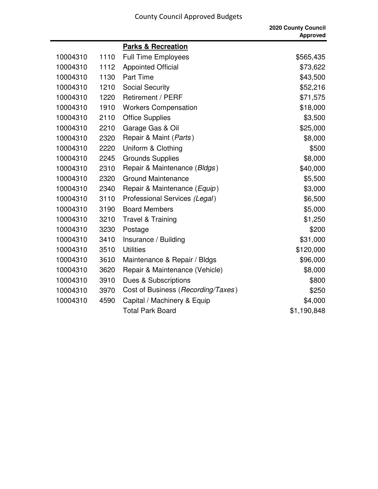|          |      |                                    | 2020 County Council<br><b>Approved</b> |
|----------|------|------------------------------------|----------------------------------------|
|          |      | <b>Parks &amp; Recreation</b>      |                                        |
| 10004310 | 1110 | <b>Full Time Employees</b>         | \$565,435                              |
| 10004310 | 1112 | <b>Appointed Official</b>          | \$73,622                               |
| 10004310 | 1130 | Part Time                          | \$43,500                               |
| 10004310 | 1210 | <b>Social Security</b>             | \$52,216                               |
| 10004310 | 1220 | Retirement / PERF                  | \$71,575                               |
| 10004310 | 1910 | <b>Workers Compensation</b>        | \$18,000                               |
| 10004310 | 2110 | <b>Office Supplies</b>             | \$3,500                                |
| 10004310 | 2210 | Garage Gas & Oil                   | \$25,000                               |
| 10004310 | 2320 | Repair & Maint (Parts)             | \$8,000                                |
| 10004310 | 2220 | Uniform & Clothing                 | \$500                                  |
| 10004310 | 2245 | <b>Grounds Supplies</b>            | \$8,000                                |
| 10004310 | 2310 | Repair & Maintenance (Bldgs)       | \$40,000                               |
| 10004310 | 2320 | <b>Ground Maintenance</b>          | \$5,500                                |
| 10004310 | 2340 | Repair & Maintenance (Equip)       | \$3,000                                |
| 10004310 | 3110 | Professional Services (Legal)      | \$6,500                                |
| 10004310 | 3190 | <b>Board Members</b>               | \$5,000                                |
| 10004310 | 3210 | <b>Travel &amp; Training</b>       | \$1,250                                |
| 10004310 | 3230 | Postage                            | \$200                                  |
| 10004310 | 3410 | Insurance / Building               | \$31,000                               |
| 10004310 | 3510 | <b>Utilities</b>                   | \$120,000                              |
| 10004310 | 3610 | Maintenance & Repair / Bldgs       | \$96,000                               |
| 10004310 | 3620 | Repair & Maintenance (Vehicle)     | \$8,000                                |
| 10004310 | 3910 | Dues & Subscriptions               | \$800                                  |
| 10004310 | 3970 | Cost of Business (Recording/Taxes) | \$250                                  |
| 10004310 | 4590 | Capital / Machinery & Equip        | \$4,000                                |
|          |      | <b>Total Park Board</b>            | \$1,190,848                            |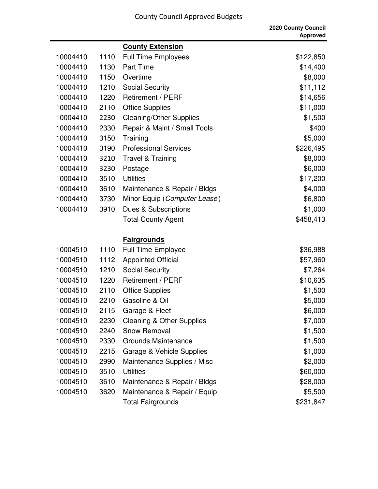|          |      |                                      | 2020 County Council<br><b>Approved</b> |
|----------|------|--------------------------------------|----------------------------------------|
|          |      | <b>County Extension</b>              |                                        |
| 10004410 | 1110 | <b>Full Time Employees</b>           | \$122,850                              |
| 10004410 | 1130 | <b>Part Time</b>                     | \$14,400                               |
| 10004410 | 1150 | Overtime                             | \$8,000                                |
| 10004410 | 1210 | <b>Social Security</b>               | \$11,112                               |
| 10004410 | 1220 | Retirement / PERF                    | \$14,656                               |
| 10004410 | 2110 | <b>Office Supplies</b>               | \$11,000                               |
| 10004410 | 2230 | <b>Cleaning/Other Supplies</b>       | \$1,500                                |
| 10004410 | 2330 | Repair & Maint / Small Tools         | \$400                                  |
| 10004410 | 3150 | Training                             | \$5,000                                |
| 10004410 | 3190 | <b>Professional Services</b>         | \$226,495                              |
| 10004410 | 3210 | <b>Travel &amp; Training</b>         | \$8,000                                |
| 10004410 | 3230 | Postage                              | \$6,000                                |
| 10004410 | 3510 | <b>Utilities</b>                     | \$17,200                               |
| 10004410 | 3610 | Maintenance & Repair / Bldgs         | \$4,000                                |
| 10004410 | 3730 | Minor Equip (Computer Lease)         | \$6,800                                |
| 10004410 | 3910 | Dues & Subscriptions                 | \$1,000                                |
|          |      | <b>Total County Agent</b>            | \$458,413                              |
|          |      | <b>Fairgrounds</b>                   |                                        |
| 10004510 | 1110 | <b>Full Time Employee</b>            | \$36,988                               |
| 10004510 | 1112 | <b>Appointed Official</b>            | \$57,960                               |
| 10004510 | 1210 | <b>Social Security</b>               | \$7,264                                |
| 10004510 | 1220 | <b>Retirement / PERF</b>             | \$10,635                               |
| 10004510 | 2110 | <b>Office Supplies</b>               | \$1,500                                |
| 10004510 | 2210 | Gasoline & Oil                       | \$5,000                                |
| 10004510 | 2115 | Garage & Fleet                       | \$6,000                                |
| 10004510 | 2230 | <b>Cleaning &amp; Other Supplies</b> | \$7,000                                |
| 10004510 | 2240 | Snow Removal                         | \$1,500                                |
| 10004510 | 2330 | <b>Grounds Maintenance</b>           | \$1,500                                |
| 10004510 | 2215 | Garage & Vehicle Supplies            | \$1,000                                |
| 10004510 | 2990 | Maintenance Supplies / Misc          | \$2,000                                |
| 10004510 | 3510 | <b>Utilities</b>                     | \$60,000                               |
| 10004510 | 3610 | Maintenance & Repair / Bldgs         | \$28,000                               |
| 10004510 | 3620 | Maintenance & Repair / Equip         | \$5,500                                |
|          |      | <b>Total Fairgrounds</b>             | \$231,847                              |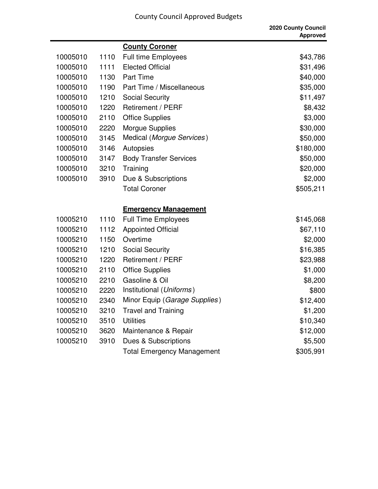|          |      |                                   | 2020 County Council<br><b>Approved</b> |
|----------|------|-----------------------------------|----------------------------------------|
|          |      | <b>County Coroner</b>             |                                        |
| 10005010 | 1110 | <b>Full time Employees</b>        | \$43,786                               |
| 10005010 | 1111 | <b>Elected Official</b>           | \$31,496                               |
| 10005010 | 1130 | <b>Part Time</b>                  | \$40,000                               |
| 10005010 | 1190 | Part Time / Miscellaneous         | \$35,000                               |
| 10005010 | 1210 | <b>Social Security</b>            | \$11,497                               |
| 10005010 | 1220 | Retirement / PERF                 | \$8,432                                |
| 10005010 | 2110 | <b>Office Supplies</b>            | \$3,000                                |
| 10005010 | 2220 | <b>Morgue Supplies</b>            | \$30,000                               |
| 10005010 | 3145 | Medical (Morgue Services)         | \$50,000                               |
| 10005010 | 3146 | Autopsies                         | \$180,000                              |
| 10005010 | 3147 | <b>Body Transfer Services</b>     | \$50,000                               |
| 10005010 | 3210 | Training                          | \$20,000                               |
| 10005010 | 3910 | Due & Subscriptions               | \$2,000                                |
|          |      | <b>Total Coroner</b>              | \$505,211                              |
|          |      |                                   |                                        |
|          |      | <b>Emergency Management</b>       |                                        |
| 10005210 | 1110 | <b>Full Time Employees</b>        | \$145,068                              |
| 10005210 | 1112 | <b>Appointed Official</b>         | \$67,110                               |
| 10005210 | 1150 | Overtime                          | \$2,000                                |
| 10005210 | 1210 | <b>Social Security</b>            | \$16,385                               |
| 10005210 | 1220 | Retirement / PERF                 | \$23,988                               |
| 10005210 | 2110 | <b>Office Supplies</b>            | \$1,000                                |
| 10005210 | 2210 | Gasoline & Oil                    | \$8,200                                |
| 10005210 | 2220 | Institutional (Uniforms)          | \$800                                  |
| 10005210 | 2340 | Minor Equip (Garage Supplies)     | \$12,400                               |
| 10005210 | 3210 | <b>Travel and Training</b>        | \$1,200                                |
| 10005210 | 3510 | <b>Utilities</b>                  | \$10,340                               |
| 10005210 | 3620 | Maintenance & Repair              | \$12,000                               |
| 10005210 | 3910 | Dues & Subscriptions              | \$5,500                                |
|          |      | <b>Total Emergency Management</b> | \$305,991                              |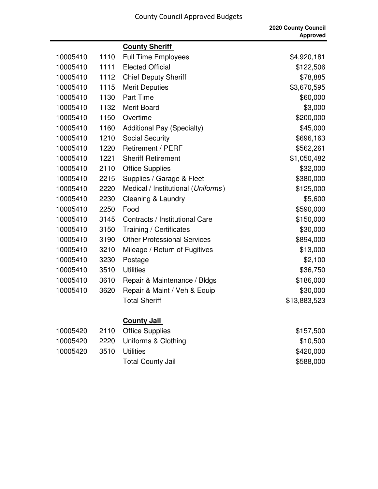|          |      |                                    | 2020 County Council<br><b>Approved</b> |
|----------|------|------------------------------------|----------------------------------------|
|          |      | <b>County Sheriff</b>              |                                        |
| 10005410 | 1110 | <b>Full Time Employees</b>         | \$4,920,181                            |
| 10005410 | 1111 | <b>Elected Official</b>            | \$122,506                              |
| 10005410 | 1112 | <b>Chief Deputy Sheriff</b>        | \$78,885                               |
| 10005410 | 1115 | <b>Merit Deputies</b>              | \$3,670,595                            |
| 10005410 | 1130 | Part Time                          | \$60,000                               |
| 10005410 | 1132 | <b>Merit Board</b>                 | \$3,000                                |
| 10005410 | 1150 | Overtime                           | \$200,000                              |
| 10005410 | 1160 | <b>Additional Pay (Specialty)</b>  | \$45,000                               |
| 10005410 | 1210 | <b>Social Security</b>             | \$696,163                              |
| 10005410 | 1220 | Retirement / PERF                  | \$562,261                              |
| 10005410 | 1221 | <b>Sheriff Retirement</b>          | \$1,050,482                            |
| 10005410 | 2110 | <b>Office Supplies</b>             | \$32,000                               |
| 10005410 | 2215 | Supplies / Garage & Fleet          | \$380,000                              |
| 10005410 | 2220 | Medical / Institutional (Uniforms) | \$125,000                              |
| 10005410 | 2230 | Cleaning & Laundry                 | \$5,600                                |
| 10005410 | 2250 | Food                               | \$590,000                              |
| 10005410 | 3145 | Contracts / Institutional Care     | \$150,000                              |
| 10005410 | 3150 | Training / Certificates            | \$30,000                               |
| 10005410 | 3190 | <b>Other Professional Services</b> | \$894,000                              |
| 10005410 | 3210 | Mileage / Return of Fugitives      | \$13,000                               |
| 10005410 | 3230 | Postage                            | \$2,100                                |
| 10005410 | 3510 | <b>Utilities</b>                   | \$36,750                               |
| 10005410 | 3610 | Repair & Maintenance / Bldgs       | \$186,000                              |
| 10005410 | 3620 | Repair & Maint / Veh & Equip       | \$30,000                               |
|          |      | <b>Total Sheriff</b>               | \$13,883,523                           |
|          |      | <b>County Jail</b>                 |                                        |
| 10005420 | 2110 | <b>Office Supplies</b>             | \$157,500                              |
| 10005420 | 2220 | Uniforms & Clothing                | \$10,500                               |
| 10005420 | 3510 | <b>Utilities</b>                   | \$420,000                              |
|          |      | <b>Total County Jail</b>           | \$588,000                              |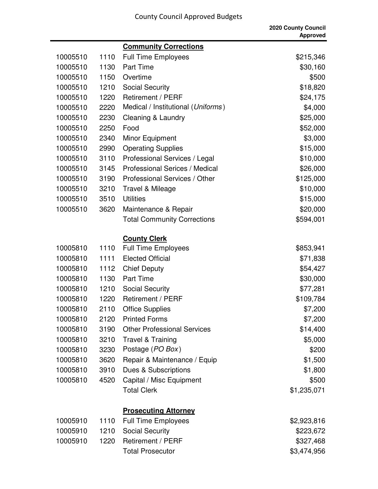|          |      |                                    | 2020 County Council<br><b>Approved</b> |
|----------|------|------------------------------------|----------------------------------------|
|          |      | <b>Community Corrections</b>       |                                        |
| 10005510 | 1110 | <b>Full Time Employees</b>         | \$215,346                              |
| 10005510 | 1130 | <b>Part Time</b>                   | \$30,160                               |
| 10005510 | 1150 | Overtime                           | \$500                                  |
| 10005510 | 1210 | <b>Social Security</b>             | \$18,820                               |
| 10005510 | 1220 | <b>Retirement / PERF</b>           | \$24,175                               |
| 10005510 | 2220 | Medical / Institutional (Uniforms) | \$4,000                                |
| 10005510 | 2230 | Cleaning & Laundry                 | \$25,000                               |
| 10005510 | 2250 | Food                               | \$52,000                               |
| 10005510 | 2340 | Minor Equipment                    | \$3,000                                |
| 10005510 | 2990 | <b>Operating Supplies</b>          | \$15,000                               |
| 10005510 | 3110 | Professional Services / Legal      | \$10,000                               |
| 10005510 | 3145 | Professional Serices / Medical     | \$26,000                               |
| 10005510 | 3190 | Professional Services / Other      | \$125,000                              |
| 10005510 | 3210 | Travel & Mileage                   | \$10,000                               |
| 10005510 | 3510 | <b>Utilities</b>                   | \$15,000                               |
| 10005510 | 3620 | Maintenance & Repair               | \$20,000                               |
|          |      | <b>Total Community Corrections</b> | \$594,001                              |
|          |      | <b>County Clerk</b>                |                                        |
| 10005810 | 1110 | <b>Full Time Employees</b>         | \$853,941                              |
| 10005810 | 1111 | <b>Elected Official</b>            | \$71,838                               |
| 10005810 | 1112 | <b>Chief Deputy</b>                | \$54,427                               |
| 10005810 | 1130 | <b>Part Time</b>                   | \$30,000                               |
| 10005810 | 1210 | <b>Social Security</b>             | \$77,281                               |
| 10005810 | 1220 | Retirement / PERF                  | \$109,784                              |
| 10005810 | 2110 | <b>Office Supplies</b>             | \$7,200                                |
| 10005810 | 2120 | <b>Printed Forms</b>               | \$7,200                                |
| 10005810 | 3190 | <b>Other Professional Services</b> | \$14,400                               |
| 10005810 | 3210 | <b>Travel &amp; Training</b>       | \$5,000                                |
| 10005810 | 3230 | Postage (PO Box)                   | \$200                                  |
| 10005810 | 3620 | Repair & Maintenance / Equip       | \$1,500                                |
| 10005810 | 3910 | Dues & Subscriptions               | \$1,800                                |
| 10005810 | 4520 | Capital / Misc Equipment           | \$500                                  |
|          |      | <b>Total Clerk</b>                 | \$1,235,071                            |
|          |      | <b>Prosecuting Attorney</b>        |                                        |
| 10005910 | 1110 | <b>Full Time Employees</b>         | \$2,923,816                            |
| 10005910 | 1210 | <b>Social Security</b>             | \$223,672                              |

10005910 1220 Retirement / PERF \$327,468

Total Prosecutor  $$3,474,956$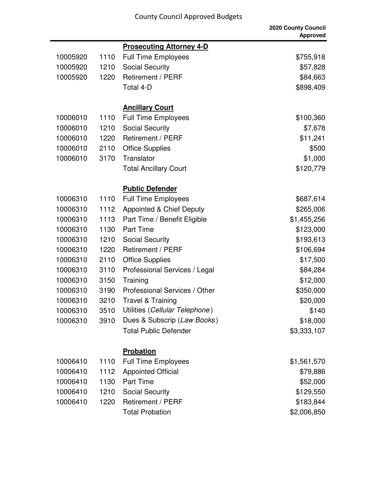|          |      |                                     | 2020 County Council<br><b>Approved</b> |
|----------|------|-------------------------------------|----------------------------------------|
|          |      | <b>Prosecuting Attorney 4-D</b>     |                                        |
| 10005920 | 1110 | <b>Full Time Employees</b>          | \$755,918                              |
| 10005920 | 1210 | <b>Social Security</b>              | \$57,828                               |
| 10005920 | 1220 | Retirement / PERF                   | \$84,663                               |
|          |      | Total 4-D                           | \$898,409                              |
|          |      | <b>Ancillary Court</b>              |                                        |
| 10006010 | 1110 | <b>Full Time Employees</b>          | \$100,360                              |
| 10006010 | 1210 | <b>Social Security</b>              | \$7,678                                |
| 10006010 | 1220 | <b>Retirement / PERF</b>            | \$11,241                               |
| 10006010 | 2110 | <b>Office Supplies</b>              | \$500                                  |
| 10006010 | 3170 | Translator                          | \$1,000                                |
|          |      | <b>Total Ancillary Court</b>        | \$120,779                              |
|          |      | <b>Public Defender</b>              |                                        |
| 10006310 | 1110 | <b>Full Time Employees</b>          | \$687,614                              |
| 10006310 | 1112 | <b>Appointed &amp; Chief Deputy</b> | \$265,006                              |
| 10006310 | 1113 | Part Time / Benefit Eligible        | \$1,455,256                            |
| 10006310 | 1130 | <b>Part Time</b>                    | \$123,000                              |
| 10006310 | 1210 | <b>Social Security</b>              | \$193,613                              |
| 10006310 | 1220 | <b>Retirement / PERF</b>            | \$106,694                              |
| 10006310 | 2110 | <b>Office Supplies</b>              | \$17,500                               |
| 10006310 | 3110 | Professional Services / Legal       | \$84,284                               |
| 10006310 | 3150 | Training                            | \$12,000                               |
| 10006310 | 3190 | Professional Services / Other       | \$350,000                              |
| 10006310 | 3210 | <b>Travel &amp; Training</b>        | \$20,000                               |
| 10006310 | 3510 | Utilities (Cellular Telephone)      | \$140                                  |
| 10006310 | 3910 | Dues & Subscrip (Law Books)         | \$18,000                               |
|          |      | <b>Total Public Defender</b>        | \$3,333,107                            |
|          |      | <b>Probation</b>                    |                                        |
| 10006410 | 1110 | <b>Full Time Employees</b>          | \$1,561,570                            |
| 10006410 | 1112 | <b>Appointed Official</b>           | \$79,886                               |
| 10006410 | 1130 | <b>Part Time</b>                    | \$52,000                               |
| 10006410 | 1210 | <b>Social Security</b>              | \$129,550                              |
| 10006410 | 1220 | Retirement / PERF                   | \$183,844                              |
|          |      | <b>Total Probation</b>              | \$2,006,850                            |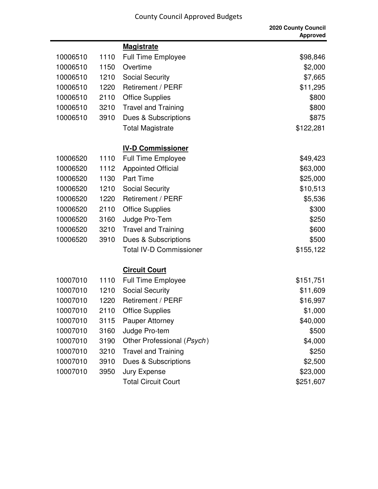|          |      |                                | <b>2020 County Council</b><br><b>Approved</b> |
|----------|------|--------------------------------|-----------------------------------------------|
|          |      | <b>Magistrate</b>              |                                               |
| 10006510 | 1110 | Full Time Employee             | \$98,846                                      |
| 10006510 | 1150 | Overtime                       | \$2,000                                       |
| 10006510 | 1210 | <b>Social Security</b>         | \$7,665                                       |
| 10006510 | 1220 | <b>Retirement / PERF</b>       | \$11,295                                      |
| 10006510 | 2110 | <b>Office Supplies</b>         | \$800                                         |
| 10006510 | 3210 | <b>Travel and Training</b>     | \$800                                         |
| 10006510 | 3910 | Dues & Subscriptions           | \$875                                         |
|          |      | <b>Total Magistrate</b>        | \$122,281                                     |
|          |      | <b>IV-D Commissioner</b>       |                                               |
| 10006520 | 1110 | <b>Full Time Employee</b>      | \$49,423                                      |
| 10006520 | 1112 | <b>Appointed Official</b>      | \$63,000                                      |
| 10006520 | 1130 | <b>Part Time</b>               | \$25,000                                      |
| 10006520 | 1210 | <b>Social Security</b>         | \$10,513                                      |
| 10006520 | 1220 | Retirement / PERF              | \$5,536                                       |
| 10006520 | 2110 | <b>Office Supplies</b>         | \$300                                         |
| 10006520 | 3160 | Judge Pro-Tem                  | \$250                                         |
| 10006520 | 3210 | <b>Travel and Training</b>     | \$600                                         |
| 10006520 | 3910 | Dues & Subscriptions           | \$500                                         |
|          |      | <b>Total IV-D Commissioner</b> | \$155,122                                     |
|          |      | <b>Circuit Court</b>           |                                               |
| 10007010 | 1110 | <b>Full Time Employee</b>      | \$151,751                                     |
| 10007010 | 1210 | <b>Social Security</b>         | \$11,609                                      |
| 10007010 | 1220 | Retirement / PERF              | \$16,997                                      |
| 10007010 | 2110 | <b>Office Supplies</b>         | \$1,000                                       |
| 10007010 | 3115 | <b>Pauper Attorney</b>         | \$40,000                                      |
| 10007010 | 3160 | Judge Pro-tem                  | \$500                                         |
| 10007010 | 3190 | Other Professional (Psych)     | \$4,000                                       |
| 10007010 | 3210 | <b>Travel and Training</b>     | \$250                                         |
| 10007010 | 3910 | Dues & Subscriptions           | \$2,500                                       |
| 10007010 | 3950 | Jury Expense                   | \$23,000                                      |
|          |      | <b>Total Circuit Court</b>     | \$251,607                                     |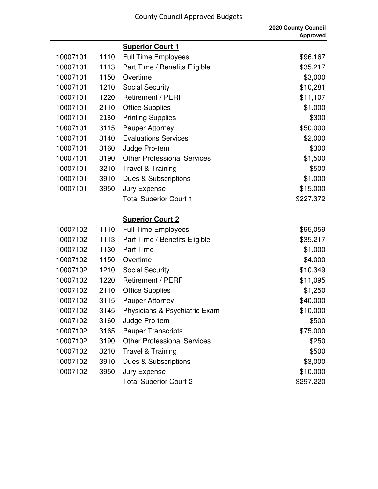|          |      |                                    | 2020 County Council<br><b>Approved</b> |
|----------|------|------------------------------------|----------------------------------------|
|          |      | <b>Superior Court 1</b>            |                                        |
| 10007101 | 1110 | <b>Full Time Employees</b>         | \$96,167                               |
| 10007101 | 1113 | Part Time / Benefits Eligible      | \$35,217                               |
| 10007101 | 1150 | Overtime                           | \$3,000                                |
| 10007101 | 1210 | <b>Social Security</b>             | \$10,281                               |
| 10007101 | 1220 | Retirement / PERF                  | \$11,107                               |
| 10007101 | 2110 | <b>Office Supplies</b>             | \$1,000                                |
| 10007101 | 2130 | <b>Printing Supplies</b>           | \$300                                  |
| 10007101 | 3115 | <b>Pauper Attorney</b>             | \$50,000                               |
| 10007101 | 3140 | <b>Evaluations Services</b>        | \$2,000                                |
| 10007101 | 3160 | Judge Pro-tem                      | \$300                                  |
| 10007101 | 3190 | <b>Other Professional Services</b> | \$1,500                                |
| 10007101 | 3210 | <b>Travel &amp; Training</b>       | \$500                                  |
| 10007101 | 3910 | Dues & Subscriptions               | \$1,000                                |
| 10007101 | 3950 | Jury Expense                       | \$15,000                               |
|          |      | <b>Total Superior Court 1</b>      | \$227,372                              |
|          |      | <b>Superior Court 2</b>            |                                        |
| 10007102 | 1110 | <b>Full Time Employees</b>         | \$95,059                               |
| 10007102 | 1113 | Part Time / Benefits Eligible      | \$35,217                               |
| 10007102 | 1130 | <b>Part Time</b>                   | \$1,000                                |
| 10007102 | 1150 | Overtime                           | \$4,000                                |
| 10007102 | 1210 | <b>Social Security</b>             | \$10,349                               |
| 10007102 | 1220 | Retirement / PERF                  | \$11,095                               |
| 10007102 | 2110 | <b>Office Supplies</b>             | \$1,250                                |
| 10007102 | 3115 | <b>Pauper Attorney</b>             | \$40,000                               |
| 10007102 | 3145 | Physicians & Psychiatric Exam      | \$10,000                               |
| 10007102 | 3160 | Judge Pro-tem                      | \$500                                  |
| 10007102 | 3165 | <b>Pauper Transcripts</b>          | \$75,000                               |
| 10007102 | 3190 | <b>Other Professional Services</b> | \$250                                  |
| 10007102 | 3210 | <b>Travel &amp; Training</b>       | \$500                                  |
| 10007102 | 3910 | <b>Dues &amp; Subscriptions</b>    | \$3,000                                |
| 10007102 | 3950 | Jury Expense                       | \$10,000                               |
|          |      | <b>Total Superior Court 2</b>      | \$297,220                              |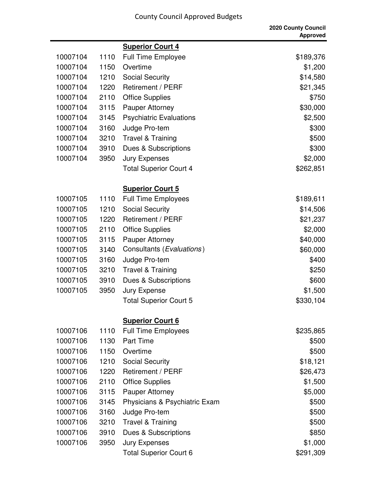|          |      |                                | 2020 County Council<br><b>Approved</b> |
|----------|------|--------------------------------|----------------------------------------|
|          |      | <b>Superior Court 4</b>        |                                        |
| 10007104 | 1110 | <b>Full Time Employee</b>      | \$189,376                              |
| 10007104 | 1150 | Overtime                       | \$1,200                                |
| 10007104 | 1210 | <b>Social Security</b>         | \$14,580                               |
| 10007104 | 1220 | <b>Retirement / PERF</b>       | \$21,345                               |
| 10007104 | 2110 | <b>Office Supplies</b>         | \$750                                  |
| 10007104 | 3115 | <b>Pauper Attorney</b>         | \$30,000                               |
| 10007104 | 3145 | <b>Psychiatric Evaluations</b> | \$2,500                                |
| 10007104 | 3160 | Judge Pro-tem                  | \$300                                  |
| 10007104 | 3210 | <b>Travel &amp; Training</b>   | \$500                                  |
| 10007104 | 3910 | Dues & Subscriptions           | \$300                                  |
| 10007104 | 3950 | <b>Jury Expenses</b>           | \$2,000                                |
|          |      | <b>Total Superior Court 4</b>  | \$262,851                              |
|          |      | <b>Superior Court 5</b>        |                                        |
| 10007105 | 1110 | <b>Full Time Employees</b>     | \$189,611                              |
| 10007105 | 1210 | <b>Social Security</b>         | \$14,506                               |
| 10007105 | 1220 | Retirement / PERF              | \$21,237                               |
| 10007105 | 2110 | <b>Office Supplies</b>         | \$2,000                                |
| 10007105 | 3115 | <b>Pauper Attorney</b>         | \$40,000                               |
| 10007105 | 3140 | Consultants (Evaluations)      | \$60,000                               |
| 10007105 | 3160 | Judge Pro-tem                  | \$400                                  |
| 10007105 | 3210 | <b>Travel &amp; Training</b>   | \$250                                  |
| 10007105 | 3910 | Dues & Subscriptions           | \$600                                  |
| 10007105 | 3950 | Jury Expense                   | \$1,500                                |
|          |      | <b>Total Superior Court 5</b>  | \$330,104                              |
|          |      | <b>Superior Court 6</b>        |                                        |
| 10007106 | 1110 | <b>Full Time Employees</b>     | \$235,865                              |
| 10007106 | 1130 | <b>Part Time</b>               | \$500                                  |
| 10007106 | 1150 | Overtime                       | \$500                                  |
| 10007106 | 1210 | <b>Social Security</b>         | \$18,121                               |
| 10007106 | 1220 | <b>Retirement / PERF</b>       | \$26,473                               |
| 10007106 | 2110 | <b>Office Supplies</b>         | \$1,500                                |
| 10007106 | 3115 | Pauper Attorney                | \$5,000                                |
| 10007106 | 3145 | Physicians & Psychiatric Exam  | \$500                                  |
| 10007106 | 3160 | Judge Pro-tem                  | \$500                                  |
| 10007106 | 3210 | <b>Travel &amp; Training</b>   | \$500                                  |
| 10007106 | 3910 | Dues & Subscriptions           | \$850                                  |
| 10007106 | 3950 | <b>Jury Expenses</b>           | \$1,000                                |
|          |      | <b>Total Superior Court 6</b>  | \$291,309                              |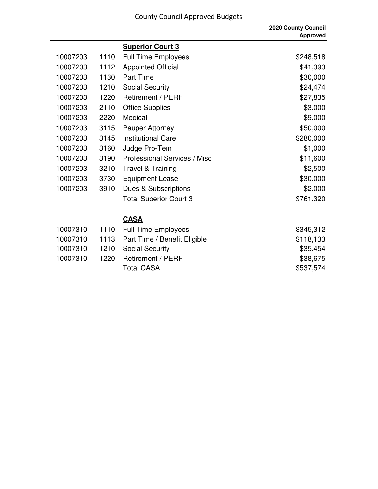|          |      |                                     | 2020 County Council<br><b>Approved</b> |
|----------|------|-------------------------------------|----------------------------------------|
|          |      | <b>Superior Court 3</b>             |                                        |
| 10007203 | 1110 | <b>Full Time Employees</b>          | \$248,518                              |
| 10007203 | 1112 | <b>Appointed Official</b>           | \$41,393                               |
| 10007203 | 1130 | <b>Part Time</b>                    | \$30,000                               |
| 10007203 | 1210 | <b>Social Security</b>              | \$24,474                               |
| 10007203 | 1220 | Retirement / PERF                   | \$27,835                               |
| 10007203 | 2110 | <b>Office Supplies</b>              | \$3,000                                |
| 10007203 | 2220 | Medical                             | \$9,000                                |
| 10007203 | 3115 | <b>Pauper Attorney</b>              | \$50,000                               |
| 10007203 | 3145 | <b>Institutional Care</b>           | \$280,000                              |
| 10007203 | 3160 | Judge Pro-Tem                       | \$1,000                                |
| 10007203 | 3190 | <b>Professional Services / Misc</b> | \$11,600                               |
| 10007203 | 3210 | <b>Travel &amp; Training</b>        | \$2,500                                |
| 10007203 | 3730 | <b>Equipment Lease</b>              | \$30,000                               |
| 10007203 | 3910 | Dues & Subscriptions                | \$2,000                                |
|          |      | <b>Total Superior Court 3</b>       | \$761,320                              |
|          |      | <b>CASA</b>                         |                                        |
| 10007310 | 1110 | <b>Full Time Employees</b>          | \$345,312                              |
| 10007310 | 1113 | Part Time / Benefit Eligible        | \$118,133                              |
| 10007310 | 1210 | <b>Social Security</b>              | \$35,454                               |
| 10007310 | 1220 | Retirement / PERF                   | \$38,675                               |
|          |      | <b>Total CASA</b>                   | \$537,574                              |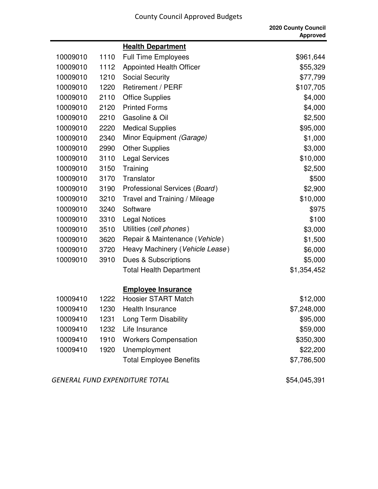|          |      |                                 | 2020 County Council<br><b>Approved</b> |
|----------|------|---------------------------------|----------------------------------------|
|          |      | <b>Health Department</b>        |                                        |
| 10009010 | 1110 | <b>Full Time Employees</b>      | \$961,644                              |
| 10009010 | 1112 | <b>Appointed Health Officer</b> | \$55,329                               |
| 10009010 | 1210 | <b>Social Security</b>          | \$77,799                               |
| 10009010 | 1220 | Retirement / PERF               | \$107,705                              |
| 10009010 | 2110 | <b>Office Supplies</b>          | \$4,000                                |
| 10009010 | 2120 | <b>Printed Forms</b>            | \$4,000                                |
| 10009010 | 2210 | Gasoline & Oil                  | \$2,500                                |
| 10009010 | 2220 | <b>Medical Supplies</b>         | \$95,000                               |
| 10009010 | 2340 | Minor Equipment (Garage)        | \$1,000                                |
| 10009010 | 2990 | <b>Other Supplies</b>           | \$3,000                                |
| 10009010 | 3110 | <b>Legal Services</b>           | \$10,000                               |
| 10009010 | 3150 | Training                        | \$2,500                                |
| 10009010 | 3170 | Translator                      | \$500                                  |
| 10009010 | 3190 | Professional Services (Board)   | \$2,900                                |
| 10009010 | 3210 | Travel and Training / Mileage   | \$10,000                               |
| 10009010 | 3240 | Software                        | \$975                                  |
| 10009010 | 3310 | <b>Legal Notices</b>            | \$100                                  |
| 10009010 | 3510 | Utilities (cell phones)         | \$3,000                                |
| 10009010 | 3620 | Repair & Maintenance (Vehicle)  | \$1,500                                |
| 10009010 | 3720 | Heavy Machinery (Vehicle Lease) | \$6,000                                |
| 10009010 | 3910 | Dues & Subscriptions            | \$5,000                                |
|          |      | <b>Total Health Department</b>  | \$1,354,452                            |
|          |      | <b>Employee Insurance</b>       |                                        |
| 10009410 | 1222 | <b>Hoosier START Match</b>      | \$12,000                               |
| 10009410 | 1230 | <b>Health Insurance</b>         | \$7,248,000                            |
| 10009410 | 1231 | Long Term Disability            | \$95,000                               |
| 10009410 | 1232 | Life Insurance                  | \$59,000                               |
| 10009410 | 1910 | <b>Workers Compensation</b>     | \$350,300                              |
| 10009410 | 1920 | Unemployment                    | \$22,200                               |
|          |      | <b>Total Employee Benefits</b>  | \$7,786,500                            |

GENERAL FUND EXPENDITURE TOTAL **654,045,391**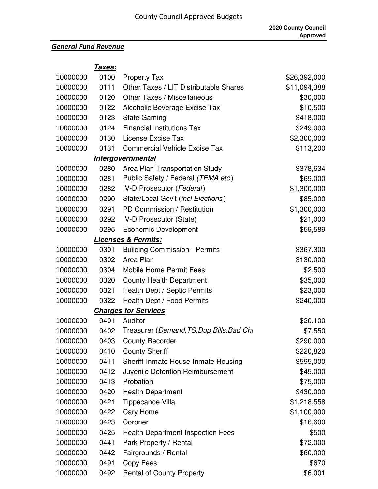## *General Fund Revenue*

**Taxes:**

| 10000000 | 0100 | <b>Property Tax</b>                       | \$26,392,000 |
|----------|------|-------------------------------------------|--------------|
| 10000000 | 0111 | Other Taxes / LIT Distributable Shares    | \$11,094,388 |
| 10000000 | 0120 | <b>Other Taxes / Miscellaneous</b>        | \$30,000     |
| 10000000 | 0122 | Alcoholic Beverage Excise Tax             | \$10,500     |
| 10000000 | 0123 | <b>State Gaming</b>                       | \$418,000    |
| 10000000 | 0124 | <b>Financial Institutions Tax</b>         | \$249,000    |
| 10000000 | 0130 | License Excise Tax                        | \$2,300,000  |
| 10000000 | 0131 | <b>Commercial Vehicle Excise Tax</b>      | \$113,200    |
|          |      | <b>Intergovernmental</b>                  |              |
| 10000000 | 0280 | Area Plan Transportation Study            | \$378,634    |
| 10000000 | 0281 | Public Safety / Federal (TEMA etc)        | \$69,000     |
| 10000000 | 0282 | IV-D Prosecutor (Federal)                 | \$1,300,000  |
| 10000000 | 0290 | State/Local Gov't (incl Elections)        | \$85,000     |
| 10000000 | 0291 | PD Commission / Restitution               | \$1,300,000  |
| 10000000 | 0292 | <b>IV-D Prosecutor (State)</b>            | \$21,000     |
| 10000000 | 0295 | <b>Economic Development</b>               | \$59,589     |
|          |      | <b>Licenses &amp; Permits:</b>            |              |
| 10000000 | 0301 | <b>Building Commission - Permits</b>      | \$367,300    |
| 10000000 | 0302 | Area Plan                                 | \$130,000    |
| 10000000 | 0304 | <b>Mobile Home Permit Fees</b>            | \$2,500      |
| 10000000 | 0320 | <b>County Health Department</b>           | \$35,000     |
| 10000000 | 0321 | Health Dept / Septic Permits              | \$23,000     |
| 10000000 | 0322 | Health Dept / Food Permits                | \$240,000    |
|          |      | <b>Charges for Services</b>               |              |
| 10000000 | 0401 | Auditor                                   | \$20,100     |
| 10000000 | 0402 | Treasurer (Demand, TS, Dup Bills, Bad Cho | \$7,550      |
| 10000000 | 0403 | <b>County Recorder</b>                    | \$290,000    |
| 10000000 | 0410 | <b>County Sheriff</b>                     | \$220,820    |
| 10000000 | 0411 | Sheriff-Inmate House-Inmate Housing       | \$595,000    |
| 10000000 | 0412 | Juvenile Detention Reimbursement          | \$45,000     |
| 10000000 | 0413 | Probation                                 | \$75,000     |
| 10000000 | 0420 | <b>Health Department</b>                  | \$430,000    |
| 10000000 | 0421 | Tippecanoe Villa                          | \$1,218,558  |
| 10000000 | 0422 | Cary Home                                 | \$1,100,000  |
| 10000000 | 0423 | Coroner                                   | \$16,600     |
| 10000000 | 0425 | <b>Health Department Inspection Fees</b>  | \$500        |
| 10000000 | 0441 | Park Property / Rental                    | \$72,000     |
| 10000000 | 0442 | Fairgrounds / Rental                      | \$60,000     |
| 10000000 | 0491 | Copy Fees                                 | \$670        |
| 10000000 | 0492 | <b>Rental of County Property</b>          | \$6,001      |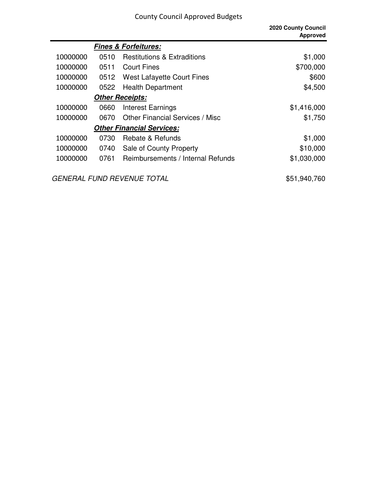|                                  |      |                                        | <b>2020 County Council</b><br><b>Approved</b> |
|----------------------------------|------|----------------------------------------|-----------------------------------------------|
|                                  |      | <b>Fines &amp; Forfeitures:</b>        |                                               |
| 10000000                         | 0510 | <b>Restitutions &amp; Extraditions</b> | \$1,000                                       |
| 10000000                         | 0511 | <b>Court Fines</b>                     | \$700,000                                     |
| 10000000                         | 0512 | <b>West Lafayette Court Fines</b>      | \$600                                         |
| 10000000                         | 0522 | <b>Health Department</b>               | \$4,500                                       |
| <b>Other Receipts:</b>           |      |                                        |                                               |
| 10000000                         | 0660 | <b>Interest Earnings</b>               | \$1,416,000                                   |
| 10000000                         | 0670 | <b>Other Financial Services / Misc</b> | \$1,750                                       |
| <b>Other Financial Services:</b> |      |                                        |                                               |
| 10000000                         | 0730 | Rebate & Refunds                       | \$1,000                                       |
| 10000000                         | 0740 | Sale of County Property                | \$10,000                                      |
| 10000000                         | 0761 | Reimbursements / Internal Refunds      | \$1,030,000                                   |
|                                  |      | <b>GENERAL FUND REVENUE TOTAL</b>      | \$51,940,760                                  |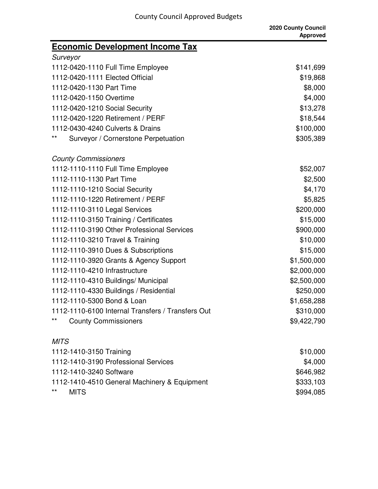| <b>Economic Development Income Tax</b>            |             |
|---------------------------------------------------|-------------|
| Surveyor                                          |             |
| 1112-0420-1110 Full Time Employee                 | \$141,699   |
| 1112-0420-1111 Elected Official                   | \$19,868    |
| 1112-0420-1130 Part Time                          | \$8,000     |
| 1112-0420-1150 Overtime                           | \$4,000     |
| 1112-0420-1210 Social Security                    | \$13,278    |
| 1112-0420-1220 Retirement / PERF                  | \$18,544    |
| 1112-0430-4240 Culverts & Drains                  | \$100,000   |
| $***$<br>Surveyor / Cornerstone Perpetuation      | \$305,389   |
| <b>County Commissioners</b>                       |             |
| 1112-1110-1110 Full Time Employee                 | \$52,007    |
| 1112-1110-1130 Part Time                          | \$2,500     |
| 1112-1110-1210 Social Security                    | \$4,170     |
| 1112-1110-1220 Retirement / PERF                  | \$5,825     |
| 1112-1110-3110 Legal Services                     | \$200,000   |
| 1112-1110-3150 Training / Certificates            | \$15,000    |
| 1112-1110-3190 Other Professional Services        | \$900,000   |
| 1112-1110-3210 Travel & Training                  | \$10,000    |
| 1112-1110-3910 Dues & Subscriptions               | \$15,000    |
| 1112-1110-3920 Grants & Agency Support            | \$1,500,000 |
| 1112-1110-4210 Infrastructure                     | \$2,000,000 |
| 1112-1110-4310 Buildings/ Municipal               | \$2,500,000 |
| 1112-1110-4330 Buildings / Residential            | \$250,000   |
| 1112-1110-5300 Bond & Loan                        | \$1,658,288 |
| 1112-1110-6100 Internal Transfers / Transfers Out | \$310,000   |
| $\star\star$<br><b>County Commissioners</b>       | \$9,422,790 |
| <b>MITS</b>                                       |             |
| 1112-1410-3150 Training                           | \$10,000    |
| 1112-1410-3190 Professional Services              | \$4,000     |
| 1112-1410-3240 Software                           | \$646,982   |
| 1112-1410-4510 General Machinery & Equipment      | \$333,103   |
| $\star\star$<br><b>MITS</b>                       | \$994,085   |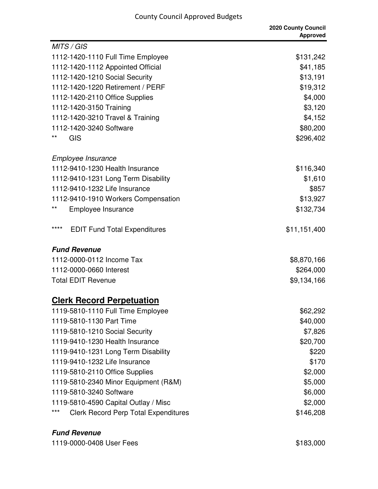| MITS / GIS                                           |              |
|------------------------------------------------------|--------------|
| 1112-1420-1110 Full Time Employee                    | \$131,242    |
| 1112-1420-1112 Appointed Official                    | \$41,185     |
| 1112-1420-1210 Social Security                       | \$13,191     |
| 1112-1420-1220 Retirement / PERF                     | \$19,312     |
| 1112-1420-2110 Office Supplies                       | \$4,000      |
| 1112-1420-3150 Training                              | \$3,120      |
| 1112-1420-3210 Travel & Training                     | \$4,152      |
| 1112-1420-3240 Software                              | \$80,200     |
| $***$<br><b>GIS</b>                                  | \$296,402    |
| Employee Insurance                                   |              |
| 1112-9410-1230 Health Insurance                      | \$116,340    |
| 1112-9410-1231 Long Term Disability                  | \$1,610      |
| 1112-9410-1232 Life Insurance                        | \$857        |
| 1112-9410-1910 Workers Compensation                  | \$13,927     |
| $***$<br>Employee Insurance                          | \$132,734    |
| ****<br><b>EDIT Fund Total Expenditures</b>          | \$11,151,400 |
| <b>Fund Revenue</b>                                  |              |
| 1112-0000-0112 Income Tax                            | \$8,870,166  |
| 1112-0000-0660 Interest                              | \$264,000    |
| <b>Total EDIT Revenue</b>                            | \$9,134,166  |
| <b>Clerk Record Perpetuation</b>                     |              |
| 1119-5810-1110 Full Time Employee                    | \$62,292     |
| 1119-5810-1130 Part Time                             | \$40,000     |
| 1119-5810-1210 Social Security                       | \$7,826      |
| 1119-9410-1230 Health Insurance                      | \$20,700     |
| 1119-9410-1231 Long Term Disability                  | \$220        |
| 1119-9410-1232 Life Insurance                        | \$170        |
| 1119-5810-2110 Office Supplies                       | \$2,000      |
| 1119-5810-2340 Minor Equipment (R&M)                 | \$5,000      |
| 1119-5810-3240 Software                              | \$6,000      |
| 1119-5810-4590 Capital Outlay / Misc                 | \$2,000      |
| $***$<br><b>Clerk Record Perp Total Expenditures</b> | \$146,208    |

#### **Fund Revenue**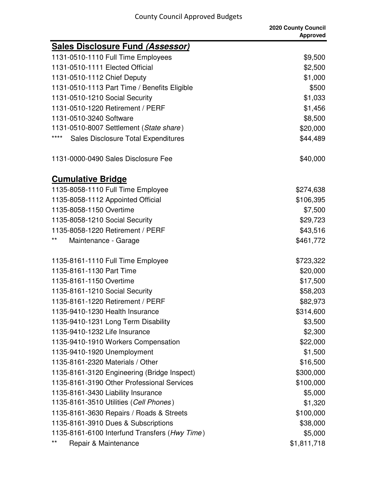|                                                    | 2020 County Council<br><b>Approved</b> |
|----------------------------------------------------|----------------------------------------|
| <b>Sales Disclosure Fund (Assessor)</b>            |                                        |
| 1131-0510-1110 Full Time Employees                 | \$9,500                                |
| 1131-0510-1111 Elected Official                    | \$2,500                                |
| 1131-0510-1112 Chief Deputy                        | \$1,000                                |
| 1131-0510-1113 Part Time / Benefits Eligible       | \$500                                  |
| 1131-0510-1210 Social Security                     | \$1,033                                |
| 1131-0510-1220 Retirement / PERF                   | \$1,456                                |
| 1131-0510-3240 Software                            | \$8,500                                |
| 1131-0510-8007 Settlement (State share)            | \$20,000                               |
| ****<br><b>Sales Disclosure Total Expenditures</b> | \$44,489                               |
| 1131-0000-0490 Sales Disclosure Fee                | \$40,000                               |
| <b>Cumulative Bridge</b>                           |                                        |
| 1135-8058-1110 Full Time Employee                  | \$274,638                              |
| 1135-8058-1112 Appointed Official                  | \$106,395                              |
| 1135-8058-1150 Overtime                            | \$7,500                                |
| 1135-8058-1210 Social Security                     | \$29,723                               |
| 1135-8058-1220 Retirement / PERF                   | \$43,516                               |
| **<br>Maintenance - Garage                         | \$461,772                              |
| 1135-8161-1110 Full Time Employee                  | \$723,322                              |
| 1135-8161-1130 Part Time                           | \$20,000                               |
| 1135-8161-1150 Overtime                            | \$17,500                               |
| 1135-8161-1210 Social Security                     | \$58,203                               |
| 1135-8161-1220 Retirement / PERF                   | \$82,973                               |
| 1135-9410-1230 Health Insurance                    | \$314,600                              |
| 1135-9410-1231 Long Term Disability                | \$3,500                                |
| 1135-9410-1232 Life Insurance                      | \$2,300                                |
| 1135-9410-1910 Workers Compensation                | \$22,000                               |
| 1135-9410-1920 Unemployment                        | \$1,500                                |
| 1135-8161-2320 Materials / Other                   | \$16,500                               |
| 1135-8161-3120 Engineering (Bridge Inspect)        | \$300,000                              |
| 1135-8161-3190 Other Professional Services         | \$100,000                              |
| 1135-8161-3430 Liability Insurance                 | \$5,000                                |
| 1135-8161-3510 Utilities (Cell Phones)             | \$1,320                                |
| 1135-8161-3630 Repairs / Roads & Streets           | \$100,000                              |
| 1135-8161-3910 Dues & Subscriptions                | \$38,000                               |
| 1135-8161-6100 Interfund Transfers (Hwy Time)      | \$5,000                                |
| $***$<br>Repair & Maintenance                      | \$1,811,718                            |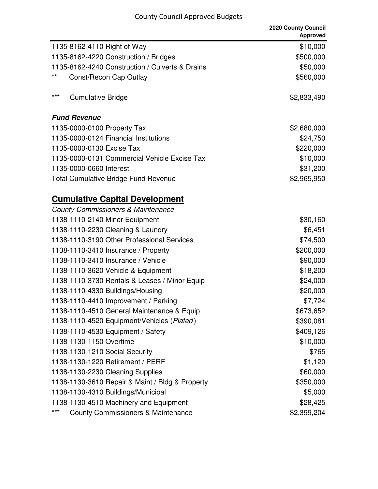|                                                        | 2020 County Council<br><b>Approved</b> |
|--------------------------------------------------------|----------------------------------------|
| 1135-8162-4110 Right of Way                            | \$10,000                               |
| 1135-8162-4220 Construction / Bridges                  | \$500,000                              |
| 1135-8162-4240 Construction / Culverts & Drains        | \$50,000                               |
| $***$<br>Const/Recon Cap Outlay                        | \$560,000                              |
| $***$<br><b>Cumulative Bridge</b>                      | \$2,833,490                            |
| <b>Fund Revenue</b>                                    |                                        |
| 1135-0000-0100 Property Tax                            | \$2,680,000                            |
| 1135-0000-0124 Financial Institutions                  | \$24,750                               |
| 1135-0000-0130 Excise Tax                              | \$220,000                              |
| 1135-0000-0131 Commercial Vehicle Excise Tax           | \$10,000                               |
| 1135-0000-0660 Interest                                | \$31,200                               |
| <b>Total Cumulative Bridge Fund Revenue</b>            | \$2,965,950                            |
| <b>Cumulative Capital Development</b>                  |                                        |
| <b>County Commissioners &amp; Maintenance</b>          |                                        |
| 1138-1110-2140 Minor Equipment                         | \$30,160                               |
| 1138-1110-2230 Cleaning & Laundry                      | \$6,451                                |
| 1138-1110-3190 Other Professional Services             | \$74,500                               |
| 1138-1110-3410 Insurance / Property                    | \$200,000                              |
| 1138-1110-3410 Insurance / Vehicle                     | \$90,000                               |
| 1138-1110-3620 Vehicle & Equipment                     | \$18,200                               |
| 1138-1110-3730 Rentals & Leases / Minor Equip          | \$24,000                               |
| 1138-1110-4330 Buildings/Housing                       | \$20,000                               |
| 1138-1110-4410 Improvement / Parking                   | \$7,724                                |
| 1138-1110-4510 General Maintenance & Equip             | \$673,652                              |
| 1138-1110-4520 Equipment/Vehicles (Plated)             | \$390,081                              |
| 1138-1110-4530 Equipment / Safety                      | \$409,126                              |
| 1138-1130-1150 Overtime                                | \$10,000                               |
| 1138-1130-1210 Social Security                         | \$765                                  |
| 1138-1130-1220 Retirement / PERF                       | \$1,120                                |
| 1138-1130-2230 Cleaning Supplies                       | \$60,000                               |
| 1138-1130-3610 Repair & Maint / Bldg & Property        | \$350,000                              |
| 1138-1130-4310 Buildings/Municipal                     | \$5,000                                |
| 1138-1130-4510 Machinery and Equipment                 | \$28,425                               |
| $***$<br><b>County Commissioners &amp; Maintenance</b> | \$2,399,204                            |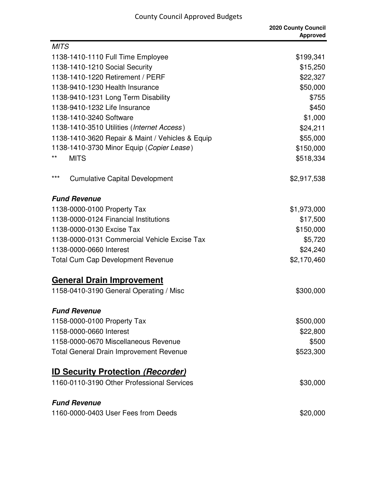|                 |                                                  | 2020 County Council<br><b>Approved</b> |
|-----------------|--------------------------------------------------|----------------------------------------|
| <b>MITS</b>     |                                                  |                                        |
|                 | 1138-1410-1110 Full Time Employee                | \$199,341                              |
|                 | 1138-1410-1210 Social Security                   | \$15,250                               |
|                 | 1138-1410-1220 Retirement / PERF                 | \$22,327                               |
|                 | 1138-9410-1230 Health Insurance                  | \$50,000                               |
|                 | 1138-9410-1231 Long Term Disability              | \$755                                  |
|                 | 1138-9410-1232 Life Insurance                    | \$450                                  |
|                 | 1138-1410-3240 Software                          | \$1,000                                |
|                 | 1138-1410-3510 Utilities (Internet Access)       | \$24,211                               |
|                 | 1138-1410-3620 Repair & Maint / Vehicles & Equip | \$55,000                               |
|                 | 1138-1410-3730 Minor Equip (Copier Lease)        | \$150,000                              |
| $^{\star\star}$ | <b>MITS</b>                                      | \$518,334                              |
| $***$           | <b>Cumulative Capital Development</b>            | \$2,917,538                            |
|                 | <b>Fund Revenue</b>                              |                                        |
|                 | 1138-0000-0100 Property Tax                      | \$1,973,000                            |
|                 | 1138-0000-0124 Financial Institutions            | \$17,500                               |
|                 | 1138-0000-0130 Excise Tax                        | \$150,000                              |
|                 | 1138-0000-0131 Commercial Vehicle Excise Tax     | \$5,720                                |
|                 | 1138-0000-0660 Interest                          | \$24,240                               |
|                 | <b>Total Cum Cap Development Revenue</b>         | \$2,170,460                            |
|                 | <b>General Drain Improvement</b>                 |                                        |
|                 | 1158-0410-3190 General Operating / Misc          | \$300,000                              |
|                 | <b>Fund Revenue</b>                              |                                        |
|                 | 1158-0000-0100 Property Tax                      | \$500,000                              |
|                 | 1158-0000-0660 Interest                          | \$22,800                               |
|                 | 1158-0000-0670 Miscellaneous Revenue             | \$500                                  |
|                 | <b>Total General Drain Improvement Revenue</b>   | \$523,300                              |
|                 | <b>ID Security Protection (Recorder)</b>         |                                        |
|                 | 1160-0110-3190 Other Professional Services       | \$30,000                               |
|                 | <b>Fund Revenue</b>                              |                                        |
|                 | 1160-0000-0403 User Fees from Deeds              | \$20,000                               |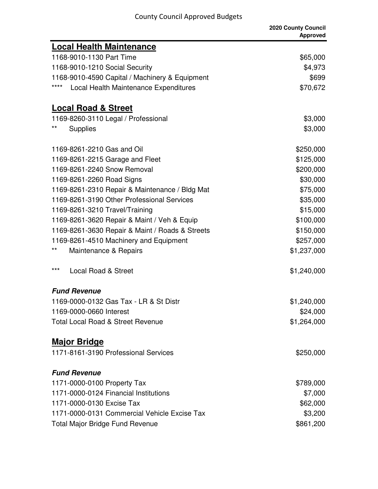|                                                 | 2020 County Council<br><b>Approved</b> |
|-------------------------------------------------|----------------------------------------|
| <b>Local Health Maintenance</b>                 |                                        |
| 1168-9010-1130 Part Time                        | \$65,000                               |
| 1168-9010-1210 Social Security                  | \$4,973                                |
| 1168-9010-4590 Capital / Machinery & Equipment  | \$699                                  |
| ****<br>Local Health Maintenance Expenditures   | \$70,672                               |
| <b>Local Road &amp; Street</b>                  |                                        |
| 1169-8260-3110 Legal / Professional             | \$3,000                                |
| $^{\star\star}$<br><b>Supplies</b>              | \$3,000                                |
| 1169-8261-2210 Gas and Oil                      | \$250,000                              |
| 1169-8261-2215 Garage and Fleet                 | \$125,000                              |
| 1169-8261-2240 Snow Removal                     | \$200,000                              |
| 1169-8261-2260 Road Signs                       | \$30,000                               |
| 1169-8261-2310 Repair & Maintenance / Bldg Mat  | \$75,000                               |
| 1169-8261-3190 Other Professional Services      | \$35,000                               |
| 1169-8261-3210 Travel/Training                  | \$15,000                               |
| 1169-8261-3620 Repair & Maint / Veh & Equip     | \$100,000                              |
| 1169-8261-3630 Repair & Maint / Roads & Streets | \$150,000                              |
| 1169-8261-4510 Machinery and Equipment          | \$257,000                              |
| **<br>Maintenance & Repairs                     | \$1,237,000                            |
| $***$<br>Local Road & Street                    | \$1,240,000                            |
| <b>Fund Revenue</b>                             |                                        |
| 1169-0000-0132 Gas Tax - LR & St Distr          | \$1,240,000                            |
| 1169-0000-0660 Interest                         | \$24,000                               |
| <b>Total Local Road &amp; Street Revenue</b>    | \$1,264,000                            |
| <b>Major Bridge</b>                             |                                        |
| 1171-8161-3190 Professional Services            | \$250,000                              |
| <b>Fund Revenue</b>                             |                                        |
| 1171-0000-0100 Property Tax                     | \$789,000                              |
| 1171-0000-0124 Financial Institutions           | \$7,000                                |
| 1171-0000-0130 Excise Tax                       | \$62,000                               |
| 1171-0000-0131 Commercial Vehicle Excise Tax    | \$3,200                                |
| <b>Total Major Bridge Fund Revenue</b>          | \$861,200                              |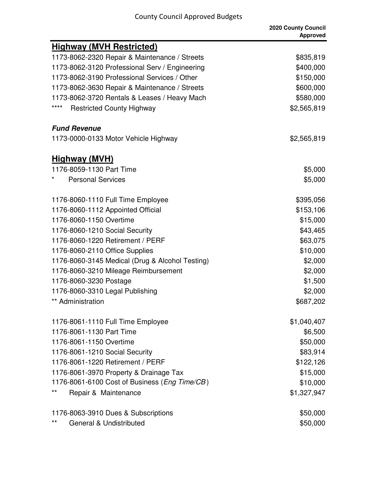|                                                 | 2020 County Council<br><b>Approved</b> |
|-------------------------------------------------|----------------------------------------|
| <b>Highway (MVH Restricted)</b>                 |                                        |
| 1173-8062-2320 Repair & Maintenance / Streets   | \$835,819                              |
| 1173-8062-3120 Professional Serv / Engineering  | \$400,000                              |
| 1173-8062-3190 Professional Services / Other    | \$150,000                              |
| 1173-8062-3630 Repair & Maintenance / Streets   | \$600,000                              |
| 1173-8062-3720 Rentals & Leases / Heavy Mach    | \$580,000                              |
| ****<br><b>Restricted County Highway</b>        | \$2,565,819                            |
| <b>Fund Revenue</b>                             |                                        |
| 1173-0000-0133 Motor Vehicle Highway            | \$2,565,819                            |
| <u>Highway (MVH)</u>                            |                                        |
| 1176-8059-1130 Part Time                        | \$5,000                                |
| <b>Personal Services</b>                        | \$5,000                                |
| 1176-8060-1110 Full Time Employee               | \$395,056                              |
| 1176-8060-1112 Appointed Official               | \$153,106                              |
| 1176-8060-1150 Overtime                         | \$15,000                               |
| 1176-8060-1210 Social Security                  | \$43,465                               |
| 1176-8060-1220 Retirement / PERF                | \$63,075                               |
| 1176-8060-2110 Office Supplies                  | \$10,000                               |
| 1176-8060-3145 Medical (Drug & Alcohol Testing) | \$2,000                                |
| 1176-8060-3210 Mileage Reimbursement            | \$2,000                                |
| 1176-8060-3230 Postage                          | \$1,500                                |
| 1176-8060-3310 Legal Publishing                 | \$2,000                                |
| ** Administration                               | \$687,202                              |
| 1176-8061-1110 Full Time Employee               | \$1,040,407                            |
| 1176-8061-1130 Part Time                        | \$6,500                                |
| 1176-8061-1150 Overtime                         | \$50,000                               |
| 1176-8061-1210 Social Security                  | \$83,914                               |
| 1176-8061-1220 Retirement / PERF                | \$122,126                              |
| 1176-8061-3970 Property & Drainage Tax          | \$15,000                               |
| 1176-8061-6100 Cost of Business (Eng Time/CB)   | \$10,000                               |
| $***$<br>Repair & Maintenance                   | \$1,327,947                            |
| 1176-8063-3910 Dues & Subscriptions             | \$50,000                               |
| $***$<br>General & Undistributed                | \$50,000                               |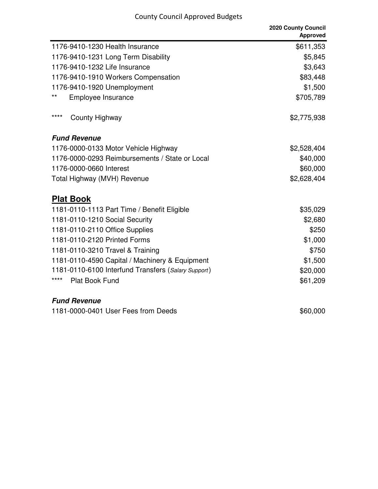|                                                     | 2020 County Council<br><b>Approved</b> |
|-----------------------------------------------------|----------------------------------------|
| 1176-9410-1230 Health Insurance                     | \$611,353                              |
| 1176-9410-1231 Long Term Disability                 | \$5,845                                |
| 1176-9410-1232 Life Insurance                       | \$3,643                                |
| 1176-9410-1910 Workers Compensation                 | \$83,448                               |
| 1176-9410-1920 Unemployment                         | \$1,500                                |
| **<br>Employee Insurance                            | \$705,789                              |
| ****<br>County Highway                              | \$2,775,938                            |
| <b>Fund Revenue</b>                                 |                                        |
| 1176-0000-0133 Motor Vehicle Highway                | \$2,528,404                            |
| 1176-0000-0293 Reimbursements / State or Local      | \$40,000                               |
| 1176-0000-0660 Interest                             | \$60,000                               |
| Total Highway (MVH) Revenue                         | \$2,628,404                            |
| <b>Plat Book</b>                                    |                                        |
| 1181-0110-1113 Part Time / Benefit Eligible         | \$35,029                               |
| 1181-0110-1210 Social Security                      | \$2,680                                |
| 1181-0110-2110 Office Supplies                      | \$250                                  |
| 1181-0110-2120 Printed Forms                        | \$1,000                                |
| 1181-0110-3210 Travel & Training                    | \$750                                  |
| 1181-0110-4590 Capital / Machinery & Equipment      | \$1,500                                |
| 1181-0110-6100 Interfund Transfers (Salary Support) | \$20,000                               |
| ****<br><b>Plat Book Fund</b>                       | \$61,209                               |
| <b>Fund Revenue</b>                                 |                                        |
| 1181-0000-0401 User Fees from Deeds                 | \$60,000                               |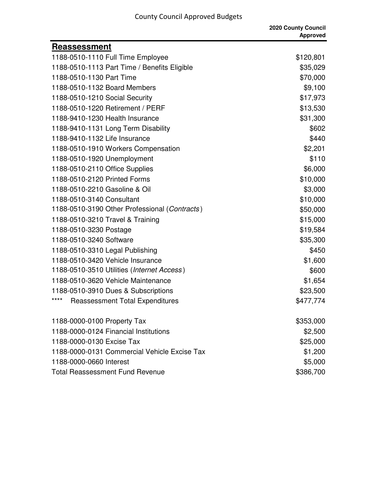|  |  | <b>County Council Approved Budgets</b> |  |
|--|--|----------------------------------------|--|
|--|--|----------------------------------------|--|

|                                                | 2020 County Council<br><b>Approved</b> |
|------------------------------------------------|----------------------------------------|
| Reassessment                                   |                                        |
| 1188-0510-1110 Full Time Employee              | \$120,801                              |
| 1188-0510-1113 Part Time / Benefits Eligible   | \$35,029                               |
| 1188-0510-1130 Part Time                       | \$70,000                               |
| 1188-0510-1132 Board Members                   | \$9,100                                |
| 1188-0510-1210 Social Security                 | \$17,973                               |
| 1188-0510-1220 Retirement / PERF               | \$13,530                               |
| 1188-9410-1230 Health Insurance                | \$31,300                               |
| 1188-9410-1131 Long Term Disability            | \$602                                  |
| 1188-9410-1132 Life Insurance                  | \$440                                  |
| 1188-0510-1910 Workers Compensation            | \$2,201                                |
| 1188-0510-1920 Unemployment                    | \$110                                  |
| 1188-0510-2110 Office Supplies                 | \$6,000                                |
| 1188-0510-2120 Printed Forms                   | \$10,000                               |
| 1188-0510-2210 Gasoline & Oil                  | \$3,000                                |
| 1188-0510-3140 Consultant                      | \$10,000                               |
| 1188-0510-3190 Other Professional (Contracts)  | \$50,000                               |
| 1188-0510-3210 Travel & Training               | \$15,000                               |
| 1188-0510-3230 Postage                         | \$19,584                               |
| 1188-0510-3240 Software                        | \$35,300                               |
| 1188-0510-3310 Legal Publishing                | \$450                                  |
| 1188-0510-3420 Vehicle Insurance               | \$1,600                                |
| 1188-0510-3510 Utilities (Internet Access)     | \$600                                  |
| 1188-0510-3620 Vehicle Maintenance             | \$1,654                                |
| 1188-0510-3910 Dues & Subscriptions            | \$23,500                               |
| <b>Reassessment Total Expenditures</b><br>**** | \$477,774                              |
| 1188-0000-0100 Property Tax                    | \$353,000                              |
| 1188-0000-0124 Financial Institutions          | \$2,500                                |
| 1188-0000-0130 Excise Tax                      | \$25,000                               |
| 1188-0000-0131 Commercial Vehicle Excise Tax   | \$1,200                                |
| 1188-0000-0660 Interest                        | \$5,000                                |
| <b>Total Reassessment Fund Revenue</b>         | \$386,700                              |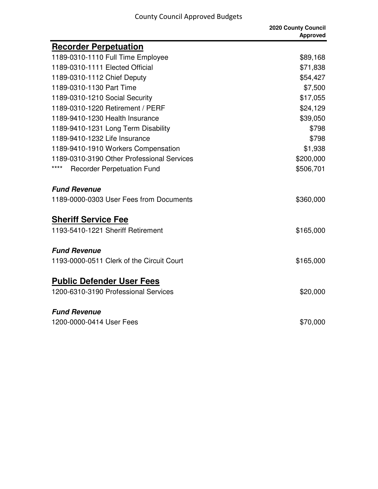|                                            | 2020 County Council<br><b>Approved</b> |
|--------------------------------------------|----------------------------------------|
| <b>Recorder Perpetuation</b>               |                                        |
| 1189-0310-1110 Full Time Employee          | \$89,168                               |
| 1189-0310-1111 Elected Official            | \$71,838                               |
| 1189-0310-1112 Chief Deputy                | \$54,427                               |
| 1189-0310-1130 Part Time                   | \$7,500                                |
| 1189-0310-1210 Social Security             | \$17,055                               |
| 1189-0310-1220 Retirement / PERF           | \$24,129                               |
| 1189-9410-1230 Health Insurance            | \$39,050                               |
| 1189-9410-1231 Long Term Disability        | \$798                                  |
| 1189-9410-1232 Life Insurance              | \$798                                  |
| 1189-9410-1910 Workers Compensation        | \$1,938                                |
| 1189-0310-3190 Other Professional Services | \$200,000                              |
| <b>Recorder Perpetuation Fund</b>          | \$506,701                              |
| <b>Fund Revenue</b>                        |                                        |
| 1189-0000-0303 User Fees from Documents    | \$360,000                              |
| <b>Sheriff Service Fee</b>                 |                                        |
| 1193-5410-1221 Sheriff Retirement          | \$165,000                              |
| <b>Fund Revenue</b>                        |                                        |
| 1193-0000-0511 Clerk of the Circuit Court  | \$165,000                              |
| <b>Public Defender User Fees</b>           |                                        |
| 1200-6310-3190 Professional Services       | \$20,000                               |
| <b>Fund Revenue</b>                        |                                        |
| 1200-0000-0414 User Fees                   | \$70,000                               |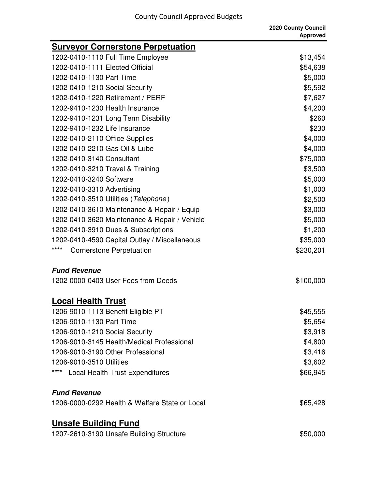|                                                | 2020 County Council<br><b>Approved</b> |
|------------------------------------------------|----------------------------------------|
| <b>Surveyor Cornerstone Perpetuation</b>       |                                        |
| 1202-0410-1110 Full Time Employee              | \$13,454                               |
| 1202-0410-1111 Elected Official                | \$54,638                               |
| 1202-0410-1130 Part Time                       | \$5,000                                |
| 1202-0410-1210 Social Security                 | \$5,592                                |
| 1202-0410-1220 Retirement / PERF               | \$7,627                                |
| 1202-9410-1230 Health Insurance                | \$4,200                                |
| 1202-9410-1231 Long Term Disability            | \$260                                  |
| 1202-9410-1232 Life Insurance                  | \$230                                  |
| 1202-0410-2110 Office Supplies                 | \$4,000                                |
| 1202-0410-2210 Gas Oil & Lube                  | \$4,000                                |
| 1202-0410-3140 Consultant                      | \$75,000                               |
| 1202-0410-3210 Travel & Training               | \$3,500                                |
| 1202-0410-3240 Software                        | \$5,000                                |
| 1202-0410-3310 Advertising                     | \$1,000                                |
| 1202-0410-3510 Utilities (Telephone)           | \$2,500                                |
| 1202-0410-3610 Maintenance & Repair / Equip    | \$3,000                                |
| 1202-0410-3620 Maintenance & Repair / Vehicle  | \$5,000                                |
| 1202-0410-3910 Dues & Subscriptions            | \$1,200                                |
| 1202-0410-4590 Capital Outlay / Miscellaneous  | \$35,000                               |
| ****<br><b>Cornerstone Perpetuation</b>        | \$230,201                              |
| <b>Fund Revenue</b>                            |                                        |
| 1202-0000-0403 User Fees from Deeds            | \$100,000                              |
| <b>Local Health Trust</b>                      |                                        |
| 1206-9010-1113 Benefit Eligible PT             | \$45,555                               |
| 1206-9010-1130 Part Time                       | \$5,654                                |
| 1206-9010-1210 Social Security                 | \$3,918                                |
| 1206-9010-3145 Health/Medical Professional     | \$4,800                                |
| 1206-9010-3190 Other Professional              | \$3,416                                |
| 1206-9010-3510 Utilities                       | \$3,602                                |
| ****<br><b>Local Health Trust Expenditures</b> | \$66,945                               |
| <b>Fund Revenue</b>                            |                                        |
| 1206-0000-0292 Health & Welfare State or Local | \$65,428                               |
| <b>Unsafe Building Fund</b>                    |                                        |
| 1207-2610-3190 Unsafe Building Structure       | \$50,000                               |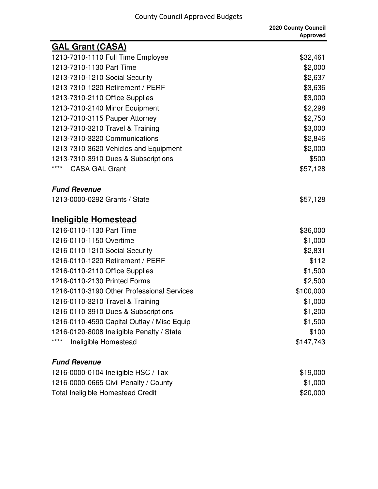| <b>GAL Grant (CASA)</b>                    |           |
|--------------------------------------------|-----------|
| 1213-7310-1110 Full Time Employee          | \$32,461  |
| 1213-7310-1130 Part Time                   | \$2,000   |
| 1213-7310-1210 Social Security             | \$2,637   |
| 1213-7310-1220 Retirement / PERF           | \$3,636   |
| 1213-7310-2110 Office Supplies             | \$3,000   |
| 1213-7310-2140 Minor Equipment             | \$2,298   |
| 1213-7310-3115 Pauper Attorney             | \$2,750   |
| 1213-7310-3210 Travel & Training           | \$3,000   |
| 1213-7310-3220 Communications              | \$2,846   |
| 1213-7310-3620 Vehicles and Equipment      | \$2,000   |
| 1213-7310-3910 Dues & Subscriptions        | \$500     |
| ****<br><b>CASA GAL Grant</b>              | \$57,128  |
| <b>Fund Revenue</b>                        |           |
| 1213-0000-0292 Grants / State              | \$57,128  |
| <b>Ineligible Homestead</b>                |           |
| 1216-0110-1130 Part Time                   | \$36,000  |
| 1216-0110-1150 Overtime                    | \$1,000   |
| 1216-0110-1210 Social Security             | \$2,831   |
| 1216-0110-1220 Retirement / PERF           | \$112     |
| 1216-0110-2110 Office Supplies             | \$1,500   |
| 1216-0110-2130 Printed Forms               | \$2,500   |
| 1216-0110-3190 Other Professional Services | \$100,000 |
| 1216-0110-3210 Travel & Training           | \$1,000   |
| 1216-0110-3910 Dues & Subscriptions        | \$1,200   |
| 1216-0110-4590 Capital Outlay / Misc Equip | \$1,500   |
| 1216-0120-8008 Ineligible Penalty / State  | \$100     |
| ****<br>Ineligible Homestead               | \$147,743 |
| <b>Fund Revenue</b>                        |           |
| 1216-0000-0104 Ineligible HSC / Tax        | \$19,000  |
| 1216-0000-0665 Civil Penalty / County      | \$1,000   |
| <b>Total Ineligible Homestead Credit</b>   | \$20,000  |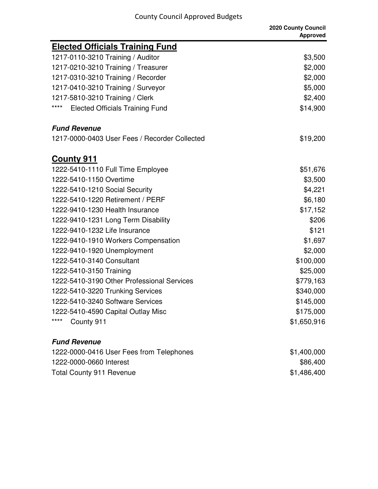|                                                | 2020 County Council<br><b>Approved</b> |
|------------------------------------------------|----------------------------------------|
| <b>Elected Officials Training Fund</b>         |                                        |
| 1217-0110-3210 Training / Auditor              | \$3,500                                |
| 1217-0210-3210 Training / Treasurer            | \$2,000                                |
| 1217-0310-3210 Training / Recorder             | \$2,000                                |
| 1217-0410-3210 Training / Surveyor             | \$5,000                                |
| 1217-5810-3210 Training / Clerk                | \$2,400                                |
| ****<br><b>Elected Officials Training Fund</b> | \$14,900                               |
| <b>Fund Revenue</b>                            |                                        |
| 1217-0000-0403 User Fees / Recorder Collected  | \$19,200                               |
| <u>County 911</u>                              |                                        |
| 1222-5410-1110 Full Time Employee              | \$51,676                               |
| 1222-5410-1150 Overtime                        | \$3,500                                |
| 1222-5410-1210 Social Security                 | \$4,221                                |
| 1222-5410-1220 Retirement / PERF               | \$6,180                                |
| 1222-9410-1230 Health Insurance                | \$17,152                               |
| 1222-9410-1231 Long Term Disability            | \$206                                  |
| 1222-9410-1232 Life Insurance                  | \$121                                  |
| 1222-9410-1910 Workers Compensation            | \$1,697                                |
| 1222-9410-1920 Unemployment                    | \$2,000                                |
| 1222-5410-3140 Consultant                      | \$100,000                              |
| 1222-5410-3150 Training                        | \$25,000                               |
| 1222-5410-3190 Other Professional Services     | \$779,163                              |
| 1222-5410-3220 Trunking Services               | \$340,000                              |
| 1222-5410-3240 Software Services               | \$145,000                              |
| 1222-5410-4590 Capital Outlay Misc             | \$175,000                              |
| ****<br>County 911                             | \$1,650,916                            |
| <b>Fund Revenue</b>                            |                                        |
| 1222-0000-0416 User Fees from Telephones       | \$1,400,000                            |
| 1222-0000-0660 Interest                        | \$86400                                |

| 1222-0000-0660 Interest  | \$86,400    |
|--------------------------|-------------|
| Total County 911 Revenue | \$1,486,400 |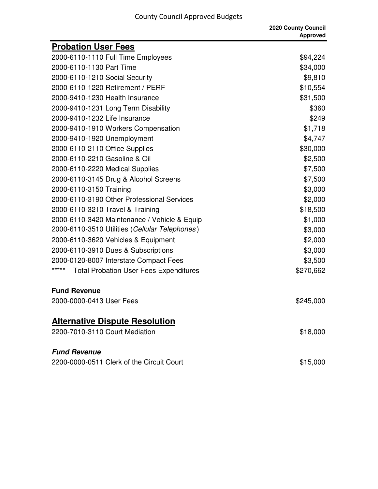|                                                        | 2020 County Council<br><b>Approved</b> |
|--------------------------------------------------------|----------------------------------------|
| <b>Probation User Fees</b>                             |                                        |
| 2000-6110-1110 Full Time Employees                     | \$94,224                               |
| 2000-6110-1130 Part Time                               | \$34,000                               |
| 2000-6110-1210 Social Security                         | \$9,810                                |
| 2000-6110-1220 Retirement / PERF                       | \$10,554                               |
| 2000-9410-1230 Health Insurance                        | \$31,500                               |
| 2000-9410-1231 Long Term Disability                    | \$360                                  |
| 2000-9410-1232 Life Insurance                          | \$249                                  |
| 2000-9410-1910 Workers Compensation                    | \$1,718                                |
| 2000-9410-1920 Unemployment                            | \$4,747                                |
| 2000-6110-2110 Office Supplies                         | \$30,000                               |
| 2000-6110-2210 Gasoline & Oil                          | \$2,500                                |
| 2000-6110-2220 Medical Supplies                        | \$7,500                                |
| 2000-6110-3145 Drug & Alcohol Screens                  | \$7,500                                |
| 2000-6110-3150 Training                                | \$3,000                                |
| 2000-6110-3190 Other Professional Services             | \$2,000                                |
| 2000-6110-3210 Travel & Training                       | \$18,500                               |
| 2000-6110-3420 Maintenance / Vehicle & Equip           | \$1,000                                |
| 2000-6110-3510 Utilities (Cellular Telephones)         | \$3,000                                |
| 2000-6110-3620 Vehicles & Equipment                    | \$2,000                                |
| 2000-6110-3910 Dues & Subscriptions                    | \$3,000                                |
| 2000-0120-8007 Interstate Compact Fees                 | \$3,500                                |
| *****<br><b>Total Probation User Fees Expenditures</b> | \$270,662                              |
| <b>Fund Revenue</b>                                    |                                        |
| 2000-0000-0413 User Fees                               | \$245,000                              |
| <b>Alternative Dispute Resolution</b>                  |                                        |
| 2200-7010-3110 Court Mediation                         | \$18,000                               |
| <b>Fund Revenue</b>                                    |                                        |
| 2200-0000-0511 Clerk of the Circuit Court              | \$15,000                               |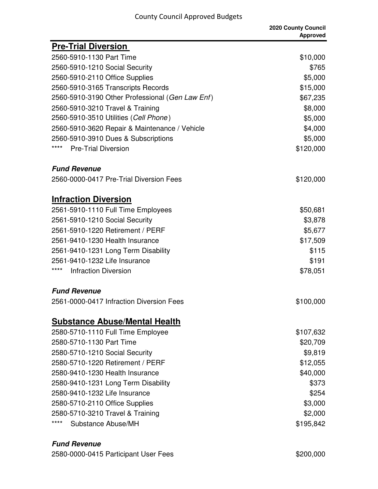| <b>Pre-Trial Diversion</b>                      |           |
|-------------------------------------------------|-----------|
| 2560-5910-1130 Part Time                        | \$10,000  |
| 2560-5910-1210 Social Security                  | \$765     |
| 2560-5910-2110 Office Supplies                  | \$5,000   |
| 2560-5910-3165 Transcripts Records              | \$15,000  |
| 2560-5910-3190 Other Professional (Gen Law Enf) | \$67,235  |
| 2560-5910-3210 Travel & Training                | \$8,000   |
| 2560-5910-3510 Utilities (Cell Phone)           | \$5,000   |
| 2560-5910-3620 Repair & Maintenance / Vehicle   | \$4,000   |
| 2560-5910-3910 Dues & Subscriptions             | \$5,000   |
| ****<br><b>Pre-Trial Diversion</b>              | \$120,000 |
| <b>Fund Revenue</b>                             |           |
| 2560-0000-0417 Pre-Trial Diversion Fees         | \$120,000 |
| <b>Infraction Diversion</b>                     |           |
| 2561-5910-1110 Full Time Employees              | \$50,681  |
| 2561-5910-1210 Social Security                  | \$3,878   |
| 2561-5910-1220 Retirement / PERF                | \$5,677   |
| 2561-9410-1230 Health Insurance                 | \$17,509  |
| 2561-9410-1231 Long Term Disability             | \$115     |
| 2561-9410-1232 Life Insurance                   | \$191     |
| ****<br><b>Infraction Diversion</b>             | \$78,051  |
| <b>Fund Revenue</b>                             |           |
| 2561-0000-0417 Infraction Diversion Fees        | \$100,000 |
| <b>Substance Abuse/Mental Health</b>            |           |
| 2580-5710-1110 Full Time Employee               | \$107,632 |
| 2580-5710-1130 Part Time                        | \$20,709  |
| 2580-5710-1210 Social Security                  | \$9,819   |
| 2580-5710-1220 Retirement / PERF                | \$12,055  |
| 2580-9410-1230 Health Insurance                 | \$40,000  |
| 2580-9410-1231 Long Term Disability             | \$373     |
| 2580-9410-1232 Life Insurance                   | \$254     |
| 2580-5710-2110 Office Supplies                  | \$3,000   |
| 2580-5710-3210 Travel & Training                | \$2,000   |
| ****<br>Substance Abuse/MH                      | \$195,842 |
|                                                 |           |

#### **Fund Revenue**

2580-0000-0415 Participant User Fees \$200,000 \$200,000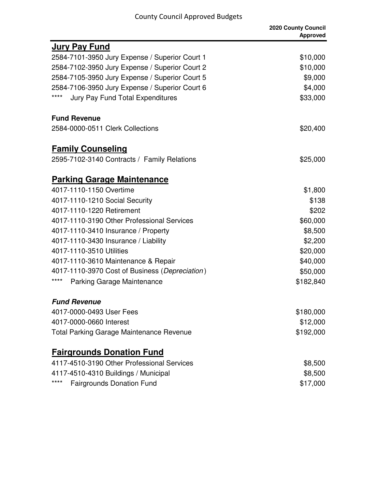|                                                 | 2020 County Council<br><b>Approved</b> |
|-------------------------------------------------|----------------------------------------|
| <b>Jury Pay Fund</b>                            |                                        |
| 2584-7101-3950 Jury Expense / Superior Court 1  | \$10,000                               |
| 2584-7102-3950 Jury Expense / Superior Court 2  | \$10,000                               |
| 2584-7105-3950 Jury Expense / Superior Court 5  | \$9,000                                |
| 2584-7106-3950 Jury Expense / Superior Court 6  | \$4,000                                |
| ****<br><b>Jury Pay Fund Total Expenditures</b> | \$33,000                               |
| <b>Fund Revenue</b>                             |                                        |
| 2584-0000-0511 Clerk Collections                | \$20,400                               |
| <b>Family Counseling</b>                        |                                        |
| 2595-7102-3140 Contracts / Family Relations     | \$25,000                               |
| <b>Parking Garage Maintenance</b>               |                                        |
| 4017-1110-1150 Overtime                         | \$1,800                                |
| 4017-1110-1210 Social Security                  | \$138                                  |
| 4017-1110-1220 Retirement                       | \$202                                  |
| 4017-1110-3190 Other Professional Services      | \$60,000                               |
| 4017-1110-3410 Insurance / Property             | \$8,500                                |
| 4017-1110-3430 Insurance / Liability            | \$2,200                                |
| 4017-1110-3510 Utilities                        | \$20,000                               |
| 4017-1110-3610 Maintenance & Repair             | \$40,000                               |
| 4017-1110-3970 Cost of Business (Depreciation)  | \$50,000                               |
| ****<br><b>Parking Garage Maintenance</b>       | \$182,840                              |
| <b>Fund Revenue</b>                             |                                        |
| 4017-0000-0493 User Fees                        | \$180,000                              |
| 4017-0000-0660 Interest                         | \$12,000                               |
| <b>Total Parking Garage Maintenance Revenue</b> | \$192,000                              |
| <b>Fairgrounds Donation Fund</b>                |                                        |
| 4117-4510-3190 Other Professional Services      | \$8,500                                |
| 4117-4510-4310 Buildings / Municipal            | \$8,500                                |
| ****<br><b>Fairgrounds Donation Fund</b>        | \$17,000                               |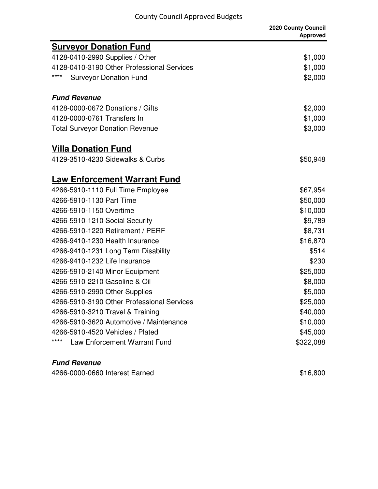|                                            | 2020 County Council<br><b>Approved</b> |
|--------------------------------------------|----------------------------------------|
| <b>Surveyor Donation Fund</b>              |                                        |
| 4128-0410-2990 Supplies / Other            | \$1,000                                |
| 4128-0410-3190 Other Professional Services | \$1,000                                |
| ****<br><b>Surveyor Donation Fund</b>      | \$2,000                                |
| <b>Fund Revenue</b>                        |                                        |
| 4128-0000-0672 Donations / Gifts           | \$2,000                                |
| 4128-0000-0761 Transfers In                | \$1,000                                |
| <b>Total Surveyor Donation Revenue</b>     | \$3,000                                |
| <b>Villa Donation Fund</b>                 |                                        |
| 4129-3510-4230 Sidewalks & Curbs           | \$50,948                               |
| <b>Law Enforcement Warrant Fund</b>        |                                        |
| 4266-5910-1110 Full Time Employee          | \$67,954                               |
| 4266-5910-1130 Part Time                   | \$50,000                               |
| 4266-5910-1150 Overtime                    | \$10,000                               |
| 4266-5910-1210 Social Security             | \$9,789                                |
| 4266-5910-1220 Retirement / PERF           | \$8,731                                |
| 4266-9410-1230 Health Insurance            | \$16,870                               |
| 4266-9410-1231 Long Term Disability        | \$514                                  |
| 4266-9410-1232 Life Insurance              | \$230                                  |
| 4266-5910-2140 Minor Equipment             | \$25,000                               |
| 4266-5910-2210 Gasoline & Oil              | \$8,000                                |
| 4266-5910-2990 Other Supplies              | \$5,000                                |
| 4266-5910-3190 Other Professional Services | \$25,000                               |
| 4266-5910-3210 Travel & Training           | \$40,000                               |
| 4266-5910-3620 Automotive / Maintenance    | \$10,000                               |
| 4266-5910-4520 Vehicles / Plated           | \$45,000                               |
| ****<br>Law Enforcement Warrant Fund       | \$322,088                              |

#### **Fund Revenue**

4266-0000-0660 Interest Earned \$16,800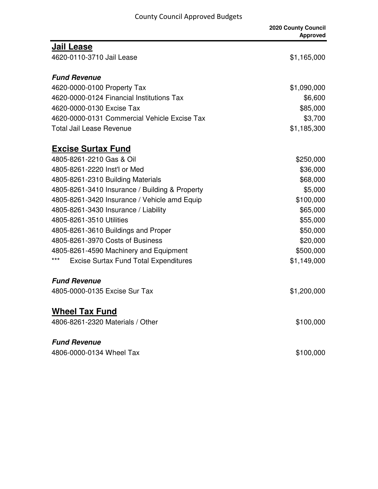|                                                     | 2020 County Council<br><b>Approved</b> |
|-----------------------------------------------------|----------------------------------------|
| <b>Jail Lease</b>                                   |                                        |
| 4620-0110-3710 Jail Lease                           | \$1,165,000                            |
| <b>Fund Revenue</b>                                 |                                        |
| 4620-0000-0100 Property Tax                         | \$1,090,000                            |
| 4620-0000-0124 Financial Institutions Tax           | \$6,600                                |
| 4620-0000-0130 Excise Tax                           | \$85,000                               |
| 4620-0000-0131 Commercial Vehicle Excise Tax        | \$3,700                                |
| Total Jail Lease Revenue                            | \$1,185,300                            |
| <b>Excise Surtax Fund</b>                           |                                        |
| 4805-8261-2210 Gas & Oil                            | \$250,000                              |
| 4805-8261-2220 Inst'l or Med                        | \$36,000                               |
| 4805-8261-2310 Building Materials                   | \$68,000                               |
| 4805-8261-3410 Insurance / Building & Property      | \$5,000                                |
| 4805-8261-3420 Insurance / Vehicle amd Equip        | \$100,000                              |
| 4805-8261-3430 Insurance / Liability                | \$65,000                               |
| 4805-8261-3510 Utilities                            | \$55,000                               |
| 4805-8261-3610 Buildings and Proper                 | \$50,000                               |
| 4805-8261-3970 Costs of Business                    | \$20,000                               |
| 4805-8261-4590 Machinery and Equipment              | \$500,000                              |
| ***<br><b>Excise Surtax Fund Total Expenditures</b> | \$1,149,000                            |
| <b>Fund Revenue</b>                                 |                                        |
| 4805-0000-0135 Excise Sur Tax                       | \$1,200,000                            |
| <b>Wheel Tax Fund</b>                               |                                        |
| 4806-8261-2320 Materials / Other                    | \$100,000                              |
| <b>Fund Revenue</b>                                 |                                        |
| 4806-0000-0134 Wheel Tax                            | \$100,000                              |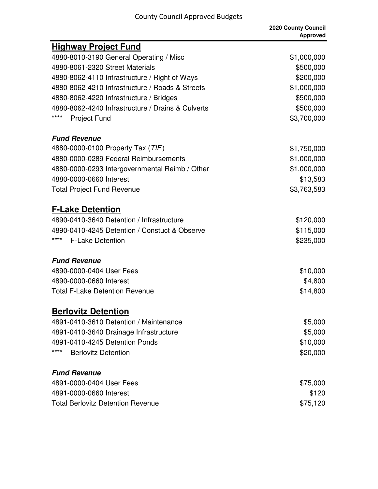| <u>Highway Project Fund</u>                       |             |
|---------------------------------------------------|-------------|
| 4880-8010-3190 General Operating / Misc           | \$1,000,000 |
| 4880-8061-2320 Street Materials                   | \$500,000   |
| 4880-8062-4110 Infrastructure / Right of Ways     | \$200,000   |
| 4880-8062-4210 Infrastructure / Roads & Streets   | \$1,000,000 |
| 4880-8062-4220 Infrastructure / Bridges           | \$500,000   |
| 4880-8062-4240 Infrastructure / Drains & Culverts | \$500,000   |
| ****<br><b>Project Fund</b>                       | \$3,700,000 |
| <b>Fund Revenue</b>                               |             |
| 4880-0000-0100 Property Tax (TIF)                 | \$1,750,000 |
| 4880-0000-0289 Federal Reimbursements             | \$1,000,000 |
| 4880-0000-0293 Intergovernmental Reimb / Other    | \$1,000,000 |
| 4880-0000-0660 Interest                           | \$13,583    |
| <b>Total Project Fund Revenue</b>                 | \$3,763,583 |
| <b>F-Lake Detention</b>                           |             |
| 4890-0410-3640 Detention / Infrastructure         | \$120,000   |
| 4890-0410-4245 Detention / Constuct & Observe     | \$115,000   |
| ****<br><b>F-Lake Detention</b>                   | \$235,000   |
| <b>Fund Revenue</b>                               |             |
| 4890-0000-0404 User Fees                          | \$10,000    |
| 4890-0000-0660 Interest                           | \$4,800     |
| <b>Total F-Lake Detention Revenue</b>             | \$14,800    |
| <b>Berlovitz Detention</b>                        |             |
| 4891-0410-3610 Detention / Maintenance            | \$5,000     |
| 4891-0410-3640 Drainage Infrastructure            | \$5,000     |
| 4891-0410-4245 Detention Ponds                    | \$10,000    |
| ****<br><b>Berlovitz Detention</b>                | \$20,000    |
| <b>Fund Revenue</b>                               |             |
| 4891-0000-0404 User Fees                          | \$75,000    |
| 4891-0000-0660 Interest                           | \$120       |
| <b>Total Berlovitz Detention Revenue</b>          | \$75,120    |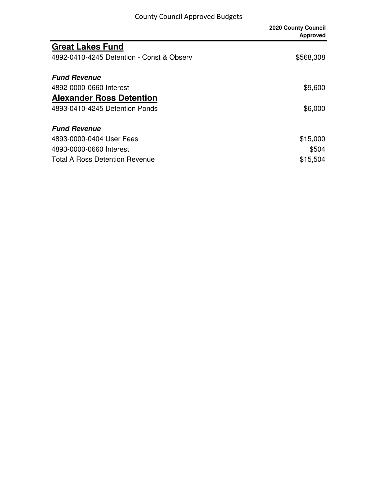|                                           | <b>2020 County Council</b><br><b>Approved</b> |
|-------------------------------------------|-----------------------------------------------|
| <b>Great Lakes Fund</b>                   |                                               |
| 4892-0410-4245 Detention - Const & Observ | \$568,308                                     |
| <b>Fund Revenue</b>                       |                                               |
| 4892-0000-0660 Interest                   | \$9,600                                       |
| <b>Alexander Ross Detention</b>           |                                               |
| 4893-0410-4245 Detention Ponds            | \$6,000                                       |
| <b>Fund Revenue</b>                       |                                               |
| 4893-0000-0404 User Fees                  | \$15,000                                      |
| 4893-0000-0660 Interest                   | \$504                                         |
| <b>Total A Ross Detention Revenue</b>     | \$15,504                                      |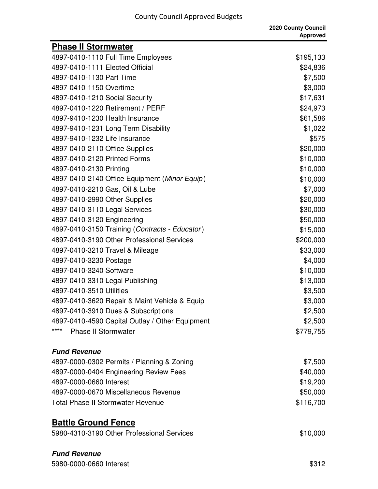|                                                 | 2020 County Council<br><b>Approved</b> |
|-------------------------------------------------|----------------------------------------|
| <b>Phase II Stormwater</b>                      |                                        |
| 4897-0410-1110 Full Time Employees              | \$195,133                              |
| 4897-0410-1111 Elected Official                 | \$24,836                               |
| 4897-0410-1130 Part Time                        | \$7,500                                |
| 4897-0410-1150 Overtime                         | \$3,000                                |
| 4897-0410-1210 Social Security                  | \$17,631                               |
| 4897-0410-1220 Retirement / PERF                | \$24,973                               |
| 4897-9410-1230 Health Insurance                 | \$61,586                               |
| 4897-9410-1231 Long Term Disability             | \$1,022                                |
| 4897-9410-1232 Life Insurance                   | \$575                                  |
| 4897-0410-2110 Office Supplies                  | \$20,000                               |
| 4897-0410-2120 Printed Forms                    | \$10,000                               |
| 4897-0410-2130 Printing                         | \$10,000                               |
| 4897-0410-2140 Office Equipment (Minor Equip)   | \$10,000                               |
| 4897-0410-2210 Gas, Oil & Lube                  | \$7,000                                |
| 4897-0410-2990 Other Supplies                   | \$20,000                               |
| 4897-0410-3110 Legal Services                   | \$30,000                               |
| 4897-0410-3120 Engineering                      | \$50,000                               |
| 4897-0410-3150 Training (Contracts - Educator)  | \$15,000                               |
| 4897-0410-3190 Other Professional Services      | \$200,000                              |
| 4897-0410-3210 Travel & Mileage                 | \$33,000                               |
| 4897-0410-3230 Postage                          | \$4,000                                |
| 4897-0410-3240 Software                         | \$10,000                               |
| 4897-0410-3310 Legal Publishing                 | \$13,000                               |
| 4897-0410-3510 Utilities                        | \$3,500                                |
| 4897-0410-3620 Repair & Maint Vehicle & Equip   | \$3,000                                |
| 4897-0410-3910 Dues & Subscriptions             | \$2,500                                |
| 4897-0410-4590 Capital Outlay / Other Equipment | \$2,500                                |
| ****<br><b>Phase II Stormwater</b>              | \$779,755                              |
| <b>Fund Revenue</b>                             |                                        |
| 4897-0000-0302 Permits / Planning & Zoning      | \$7,500                                |
| 4897-0000-0404 Engineering Review Fees          | \$40,000                               |
| 4897-0000-0660 Interest                         | \$19,200                               |
| 4897-0000-0670 Miscellaneous Revenue            | \$50,000                               |
| <b>Total Phase II Stormwater Revenue</b>        | \$116,700                              |

# **Battle Ground Fence**

| 5980-4310-3190 Other Professional Services | \$10,000 |
|--------------------------------------------|----------|
|                                            |          |

## **Fund Revenue**

5980-0000-0660 Interest \$312